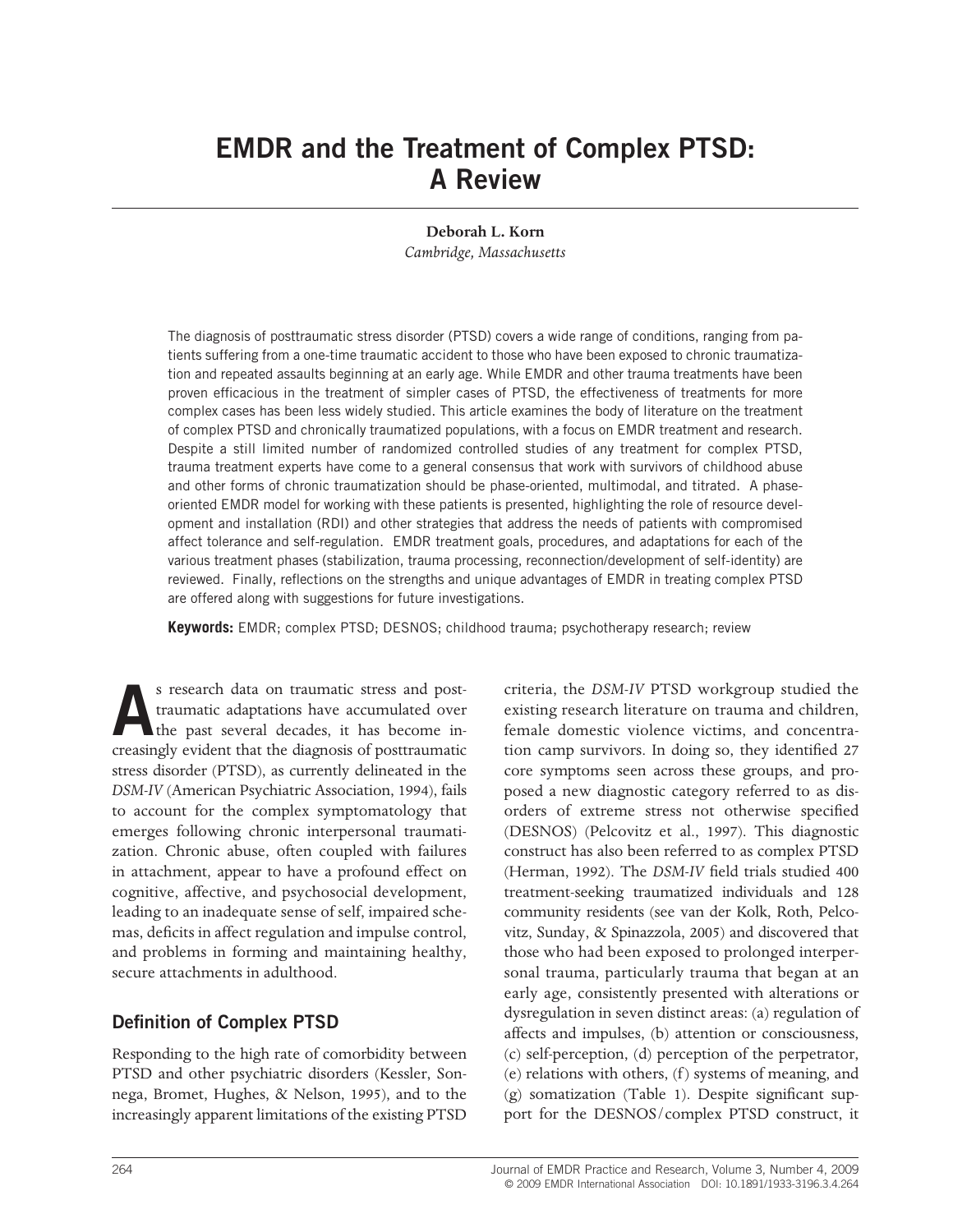# **EMDR and the Treatment of Complex PTSD: A Review**

 **Deborah L. Korn**   *Cambridge, Massachusetts* 

The diagnosis of posttraumatic stress disorder (PTSD) covers a wide range of conditions, ranging from patients suffering from a one-time traumatic accident to those who have been exposed to chronic traumatization and repeated assaults beginning at an early age. While EMDR and other trauma treatments have been proven efficacious in the treatment of simpler cases of PTSD, the effectiveness of treatments for more complex cases has been less widely studied. This article examines the body of literature on the treatment of complex PTSD and chronically traumatized populations, with a focus on EMDR treatment and research. Despite a still limited number of randomized controlled studies of any treatment for complex PTSD, trauma treatment experts have come to a general consensus that work with survivors of childhood abuse and other forms of chronic traumatization should be phase-oriented, multimodal, and titrated. A phaseoriented EMDR model for working with these patients is presented, highlighting the role of resource development and installation (RDI) and other strategies that address the needs of patients with compromised affect tolerance and self-regulation. EMDR treatment goals, procedures, and adaptations for each of the various treatment phases (stabilization, trauma processing, reconnection/development of self-identity) are reviewed. Finally, reflections on the strengths and unique advantages of EMDR in treating complex PTSD are offered along with suggestions for future investigations.

**Keywords:** EMDR; complex PTSD; DESNOS; childhood trauma; psychotherapy research; review

S research data on traumatic stress and post-<br>traumatic adaptations have accumulated over<br>the past several decades, it has become in-<br>grassingly sydent that the diagnosis of posttraumatic traumatic adaptations have accumulated over the past several decades, it has become increasingly evident that the diagnosis of posttraumatic stress disorder (PTSD), as currently delineated in the *DSM-IV* (American Psychiatric Association, 1994), fails to account for the complex symptomatology that emerges following chronic interpersonal traumatization. Chronic abuse, often coupled with failures in attachment, appear to have a profound effect on cognitive, affective, and psychosocial development, leading to an inadequate sense of self, impaired schemas, deficits in affect regulation and impulse control, and problems in forming and maintaining healthy, secure attachments in adulthood.

#### **Definition of Complex PTSD**

 Responding to the high rate of comorbidity between PTSD and other psychiatric disorders (Kessler, Sonnega, Bromet, Hughes, & Nelson, 1995), and to the increasingly apparent limitations of the existing PTSD

criteria, the *DSM-IV* PTSD workgroup studied the existing research literature on trauma and children, female domestic violence victims, and concentration camp survivors. In doing so, they identified 27 core symptoms seen across these groups, and proposed a new diagnostic category referred to as disorders of extreme stress not otherwise specified (DESNOS) (Pelcovitz et al., 1997). This diagnostic construct has also been referred to as complex PTSD (Herman, 1992). The *DSM-IV* field trials studied 400 treatment-seeking traumatized individuals and 128 community residents (see van der Kolk, Roth, Pelcovitz, Sunday, & Spinazzola, 2005) and discovered that those who had been exposed to prolonged interpersonal trauma, particularly trauma that began at an early age, consistently presented with alterations or dysregulation in seven distinct areas: (a) regulation of affects and impulses, (b) attention or consciousness, (c) self-perception, (d) perception of the perpetrator,  $(e)$  relations with others,  $(f)$  systems of meaning, and  $(g)$  somatization (Table 1). Despite significant support for the DESNOS/complex PTSD construct, it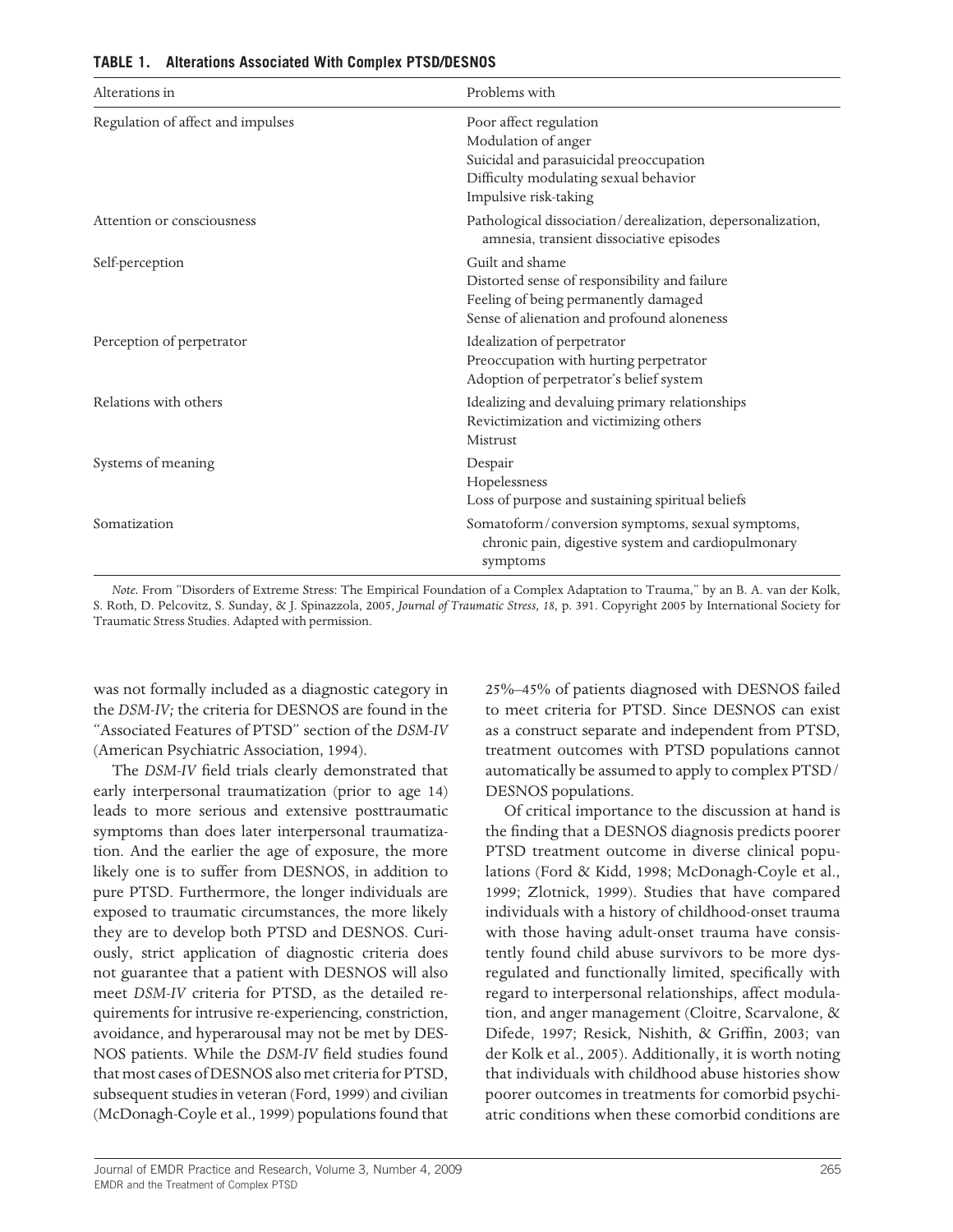|  |  |  |  |  | <b>TABLE 1. Alterations Associated With Complex PTSD/DESNOS</b> |
|--|--|--|--|--|-----------------------------------------------------------------|
|--|--|--|--|--|-----------------------------------------------------------------|

| Alterations in                    | Problems with                                                                                                                                              |  |  |
|-----------------------------------|------------------------------------------------------------------------------------------------------------------------------------------------------------|--|--|
| Regulation of affect and impulses | Poor affect regulation<br>Modulation of anger<br>Suicidal and parasuicidal preoccupation<br>Difficulty modulating sexual behavior<br>Impulsive risk-taking |  |  |
| Attention or consciousness        | Pathological dissociation/derealization, depersonalization,<br>amnesia, transient dissociative episodes                                                    |  |  |
| Self-perception                   | Guilt and shame<br>Distorted sense of responsibility and failure<br>Feeling of being permanently damaged<br>Sense of alienation and profound aloneness     |  |  |
| Perception of perpetrator         | Idealization of perpetrator<br>Preoccupation with hurting perpetrator<br>Adoption of perpetrator's belief system                                           |  |  |
| Relations with others             | Idealizing and devaluing primary relationships<br>Revictimization and victimizing others<br>Mistrust                                                       |  |  |
| Systems of meaning                | Despair<br>Hopelessness<br>Loss of purpose and sustaining spiritual beliefs                                                                                |  |  |
| Somatization                      | Somatoform/conversion symptoms, sexual symptoms,<br>chronic pain, digestive system and cardiopulmonary<br>symptoms                                         |  |  |

*Note.* From "Disorders of Extreme Stress: The Empirical Foundation of a Complex Adaptation to Trauma," by an B. A. van der Kolk, S. Roth, D. Pelcovitz, S. Sunday, & J. Spinazzola, 2005, *Journal of Traumatic Stress, 18,* p. 391. Copyright 2005 by International Society for Traumatic Stress Studies. Adapted with permission.

was not formally included as a diagnostic category in the *DSM-IV;* the criteria for DESNOS are found in the "Associated Features of PTSD" section of the *DSM-IV* (American Psychiatric Association, 1994).

The *DSM-IV* field trials clearly demonstrated that early interpersonal traumatization (prior to age 14) leads to more serious and extensive posttraumatic symptoms than does later interpersonal traumatization. And the earlier the age of exposure, the more likely one is to suffer from DESNOS, in addition to pure PTSD. Furthermore, the longer individuals are exposed to traumatic circumstances, the more likely they are to develop both PTSD and DESNOS. Curiously, strict application of diagnostic criteria does not guarantee that a patient with DESNOS will also meet *DSM-IV* criteria for PTSD, as the detailed requirements for intrusive re-experiencing, constriction, avoidance, and hyperarousal may not be met by DES-NOS patients. While the *DSM-IV* field studies found that most cases of DESNOS also met criteria for PTSD, subsequent studies in veteran (Ford, 1999) and civilian (McDonagh-Coyle et al., 1999) populations found that 25%–45% of patients diagnosed with DESNOS failed to meet criteria for PTSD. Since DESNOS can exist as a construct separate and independent from PTSD, treatment outcomes with PTSD populations cannot automatically be assumed to apply to complex PTSD/ DESNOS populations.

 Of critical importance to the discussion at hand is the finding that a DESNOS diagnosis predicts poorer PTSD treatment outcome in diverse clinical populations (Ford & Kidd, 1998; McDonagh-Coyle et al., 1999; Zlotnick, 1999). Studies that have compared individuals with a history of childhood-onset trauma with those having adult-onset trauma have consistently found child abuse survivors to be more dysregulated and functionally limited, specifically with regard to interpersonal relationships, affect modulation, and anger management (Cloitre, Scarvalone, & Difede, 1997; Resick, Nishith, & Griffin, 2003; van der Kolk et al., 2005). Additionally, it is worth noting that individuals with childhood abuse histories show poorer outcomes in treatments for comorbid psychiatric conditions when these comorbid conditions are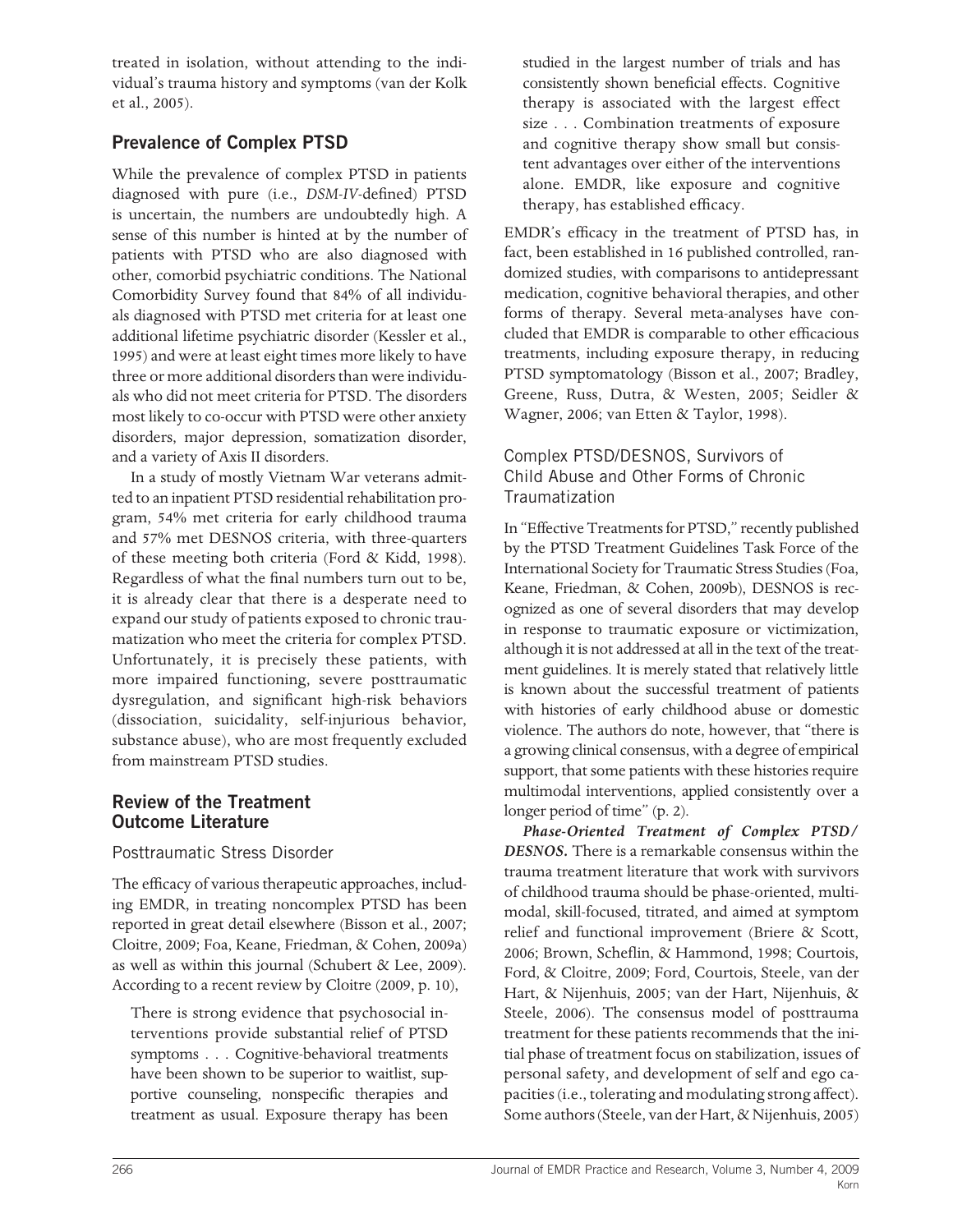treated in isolation, without attending to the individual's trauma history and symptoms (van der Kolk et al., 2005).

## **Prevalence of Complex PTSD**

 While the prevalence of complex PTSD in patients diagnosed with pure (i.e., *DSM-IV-defined*) PTSD is uncertain, the numbers are undoubtedly high. A sense of this number is hinted at by the number of patients with PTSD who are also diagnosed with other, comorbid psychiatric conditions. The National Comorbidity Survey found that 84% of all individuals diagnosed with PTSD met criteria for at least one additional lifetime psychiatric disorder (Kessler et al., 1995) and were at least eight times more likely to have three or more additional disorders than were individuals who did not meet criteria for PTSD. The disorders most likely to co-occur with PTSD were other anxiety disorders, major depression, somatization disorder, and a variety of Axis II disorders.

 In a study of mostly Vietnam War veterans admitted to an inpatient PTSD residential rehabilitation program, 54% met criteria for early childhood trauma and 57% met DESNOS criteria, with three-quarters of these meeting both criteria (Ford & Kidd, 1998). Regardless of what the final numbers turn out to be, it is already clear that there is a desperate need to expand our study of patients exposed to chronic traumatization who meet the criteria for complex PTSD. Unfortunately, it is precisely these patients, with more impaired functioning, severe posttraumatic dysregulation, and significant high-risk behaviors (dissociation, suicidality, self-injurious behavior, substance abuse), who are most frequently excluded from mainstream PTSD studies.

#### **Review of the Treatment Outcome Literature**

#### Posttraumatic Stress Disorder

The efficacy of various therapeutic approaches, including EMDR, in treating noncomplex PTSD has been reported in great detail elsewhere (Bisson et al., 2007; Cloitre, 2009; Foa, Keane, Friedman, & Cohen, 2009a) as well as within this journal (Schubert & Lee, 2009). According to a recent review by Cloitre (2009, p. 10),

 There is strong evidence that psychosocial interventions provide substantial relief of PTSD symptoms . . . Cognitive-behavioral treatments have been shown to be superior to waitlist, supportive counseling, nonspecific therapies and treatment as usual. Exposure therapy has been

studied in the largest number of trials and has consistently shown beneficial effects. Cognitive therapy is associated with the largest effect size . . . Combination treatments of exposure and cognitive therapy show small but consistent advantages over either of the interventions alone. EMDR, like exposure and cognitive therapy, has established efficacy.

EMDR's efficacy in the treatment of PTSD has, in fact, been established in 16 published controlled, randomized studies, with comparisons to antidepressant medication, cognitive behavioral therapies, and other forms of therapy. Several meta-analyses have concluded that EMDR is comparable to other efficacious treatments, including exposure therapy, in reducing PTSD symptomatology (Bisson et al., 2007; Bradley, Greene, Russ, Dutra, & Westen, 2005; Seidler & Wagner, 2006; van Etten & Taylor, 1998).

#### Complex PTSD/DESNOS, Survivors of Child Abuse and Other Forms of Chronic Traumatization

 In "Effective Treatments for PTSD," recently published by the PTSD Treatment Guidelines Task Force of the International Society for Traumatic Stress Studies (Foa, Keane, Friedman, & Cohen, 2009b), DESNOS is recognized as one of several disorders that may develop in response to traumatic exposure or victimization, although it is not addressed at all in the text of the treatment guidelines. It is merely stated that relatively little is known about the successful treatment of patients with histories of early childhood abuse or domestic violence. The authors do note, however, that "there is a growing clinical consensus, with a degree of empirical support, that some patients with these histories require multimodal interventions, applied consistently over a longer period of time" (p. 2).

 *Phase-Oriented Treatment of Complex PTSD/ DESNOS.* There is a remarkable consensus within the trauma treatment literature that work with survivors of childhood trauma should be phase-oriented, multimodal, skill-focused, titrated, and aimed at symptom relief and functional improvement (Briere & Scott, 2006; Brown, Scheflin, & Hammond, 1998; Courtois, Ford, & Cloitre, 2009; Ford, Courtois, Steele, van der Hart, & Nijenhuis, 2005; van der Hart, Nijenhuis, & Steele, 2006). The consensus model of posttrauma treatment for these patients recommends that the initial phase of treatment focus on stabilization, issues of personal safety, and development of self and ego capacities (i.e., tolerating and modulating strong affect). Some authors (Steele, van der Hart, & Nijenhuis, 2005)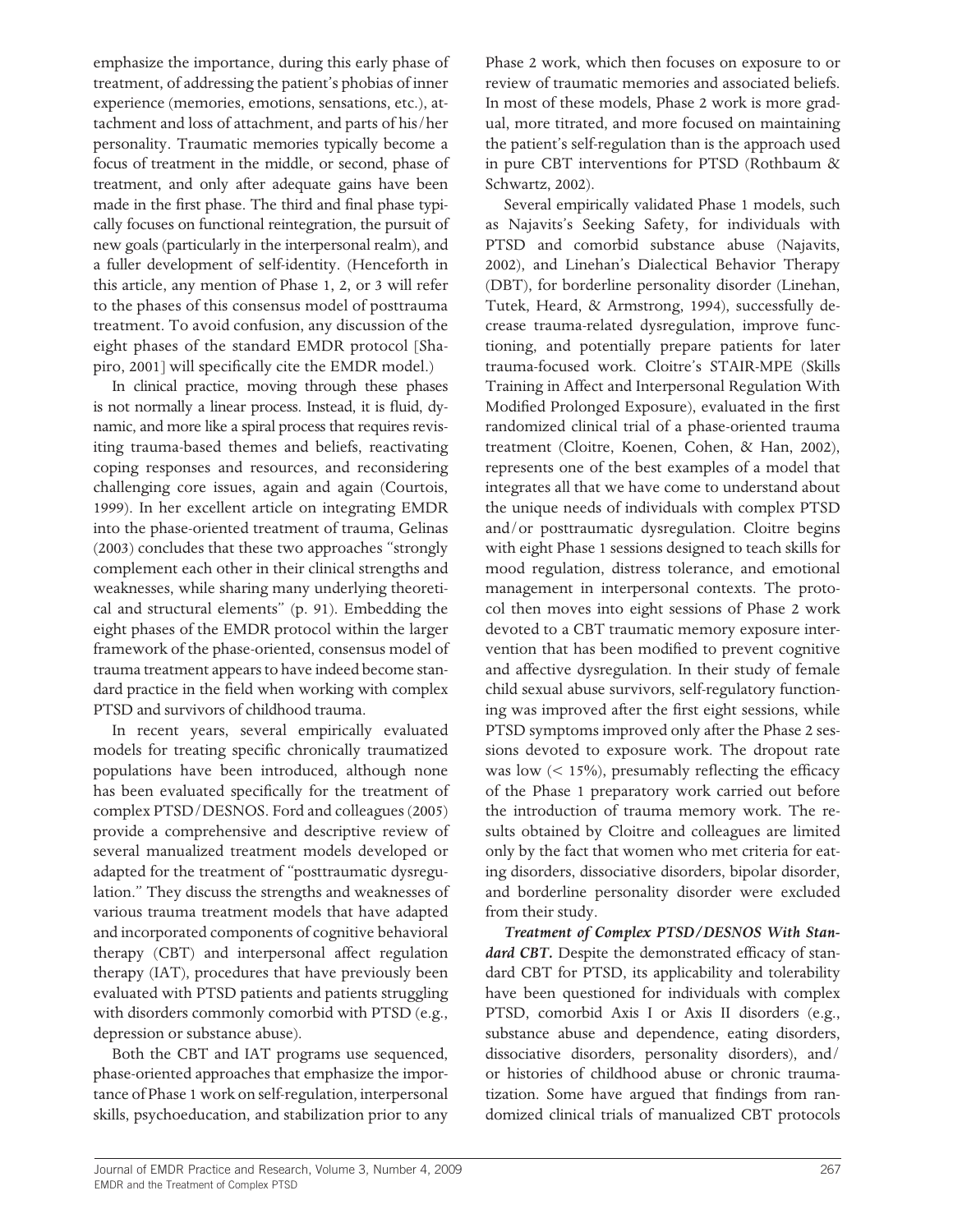emphasize the importance, during this early phase of treatment, of addressing the patient's phobias of inner experience (memories, emotions, sensations, etc.), attachment and loss of attachment, and parts of his/her personality. Traumatic memories typically become a focus of treatment in the middle, or second, phase of treatment, and only after adequate gains have been made in the first phase. The third and final phase typically focuses on functional reintegration, the pursuit of new goals (particularly in the interpersonal realm), and a fuller development of self-identity. (Henceforth in this article, any mention of Phase 1, 2, or 3 will refer to the phases of this consensus model of posttrauma treatment. To avoid confusion, any discussion of the eight phases of the standard EMDR protocol [Shapiro, 2001] will specifically cite the EMDR model.)

 In clinical practice, moving through these phases is not normally a linear process. Instead, it is fluid, dynamic, and more like a spiral process that requires revisiting trauma-based themes and beliefs, reactivating coping responses and resources, and reconsidering challenging core issues, again and again (Courtois, 1999). In her excellent article on integrating EMDR into the phase-oriented treatment of trauma, Gelinas (2003) concludes that these two approaches "strongly complement each other in their clinical strengths and weaknesses, while sharing many underlying theoretical and structural elements" (p. 91). Embedding the eight phases of the EMDR protocol within the larger framework of the phase-oriented, consensus model of trauma treatment appears to have indeed become standard practice in the field when working with complex PTSD and survivors of childhood trauma.

 In recent years, several empirically evaluated models for treating specific chronically traumatized populations have been introduced, although none has been evaluated specifically for the treatment of complex PTSD/DESNOS. Ford and colleagues (2005) provide a comprehensive and descriptive review of several manualized treatment models developed or adapted for the treatment of "posttraumatic dysregulation." They discuss the strengths and weaknesses of various trauma treatment models that have adapted and incorporated components of cognitive behavioral therapy (CBT) and interpersonal affect regulation therapy (IAT), procedures that have previously been evaluated with PTSD patients and patients struggling with disorders commonly comorbid with PTSD (e.g., depression or substance abuse).

 Both the CBT and IAT programs use sequenced, phase-oriented approaches that emphasize the importance of Phase 1 work on self-regulation, interpersonal skills, psychoeducation, and stabilization prior to any Phase 2 work, which then focuses on exposure to or review of traumatic memories and associated beliefs. In most of these models, Phase 2 work is more gradual, more titrated, and more focused on maintaining the patient's self-regulation than is the approach used in pure CBT interventions for PTSD (Rothbaum & Schwartz, 2002).

 Several empirically validated Phase 1 models, such as Najavits's Seeking Safety, for individuals with PTSD and comorbid substance abuse (Najavits, 2002), and Linehan's Dialectical Behavior Therapy (DBT), for borderline personality disorder (Linehan, Tutek, Heard, & Armstrong, 1994), successfully decrease trauma-related dysregulation, improve functioning, and potentially prepare patients for later trauma-focused work. Cloitre's STAIR-MPE (Skills Training in Affect and Interpersonal Regulation With Modified Prolonged Exposure), evaluated in the first randomized clinical trial of a phase-oriented trauma treatment (Cloitre, Koenen, Cohen, & Han, 2002), represents one of the best examples of a model that integrates all that we have come to understand about the unique needs of individuals with complex PTSD and/or posttraumatic dysregulation. Cloitre begins with eight Phase 1 sessions designed to teach skills for mood regulation, distress tolerance, and emotional management in interpersonal contexts. The protocol then moves into eight sessions of Phase 2 work devoted to a CBT traumatic memory exposure intervention that has been modified to prevent cognitive and affective dysregulation. In their study of female child sexual abuse survivors, self-regulatory functioning was improved after the first eight sessions, while PTSD symptoms improved only after the Phase 2 sessions devoted to exposure work. The dropout rate was low  $(< 15\%)$ , presumably reflecting the efficacy of the Phase 1 preparatory work carried out before the introduction of trauma memory work. The results obtained by Cloitre and colleagues are limited only by the fact that women who met criteria for eating disorders, dissociative disorders, bipolar disorder, and borderline personality disorder were excluded from their study.

 *Treatment of Complex PTSD/DESNOS With Stan*dard CBT. Despite the demonstrated efficacy of standard CBT for PTSD, its applicability and tolerability have been questioned for individuals with complex PTSD, comorbid Axis I or Axis II disorders (e.g., substance abuse and dependence, eating disorders, dissociative disorders, personality disorders), and/ or histories of childhood abuse or chronic traumatization. Some have argued that findings from randomized clinical trials of manualized CBT protocols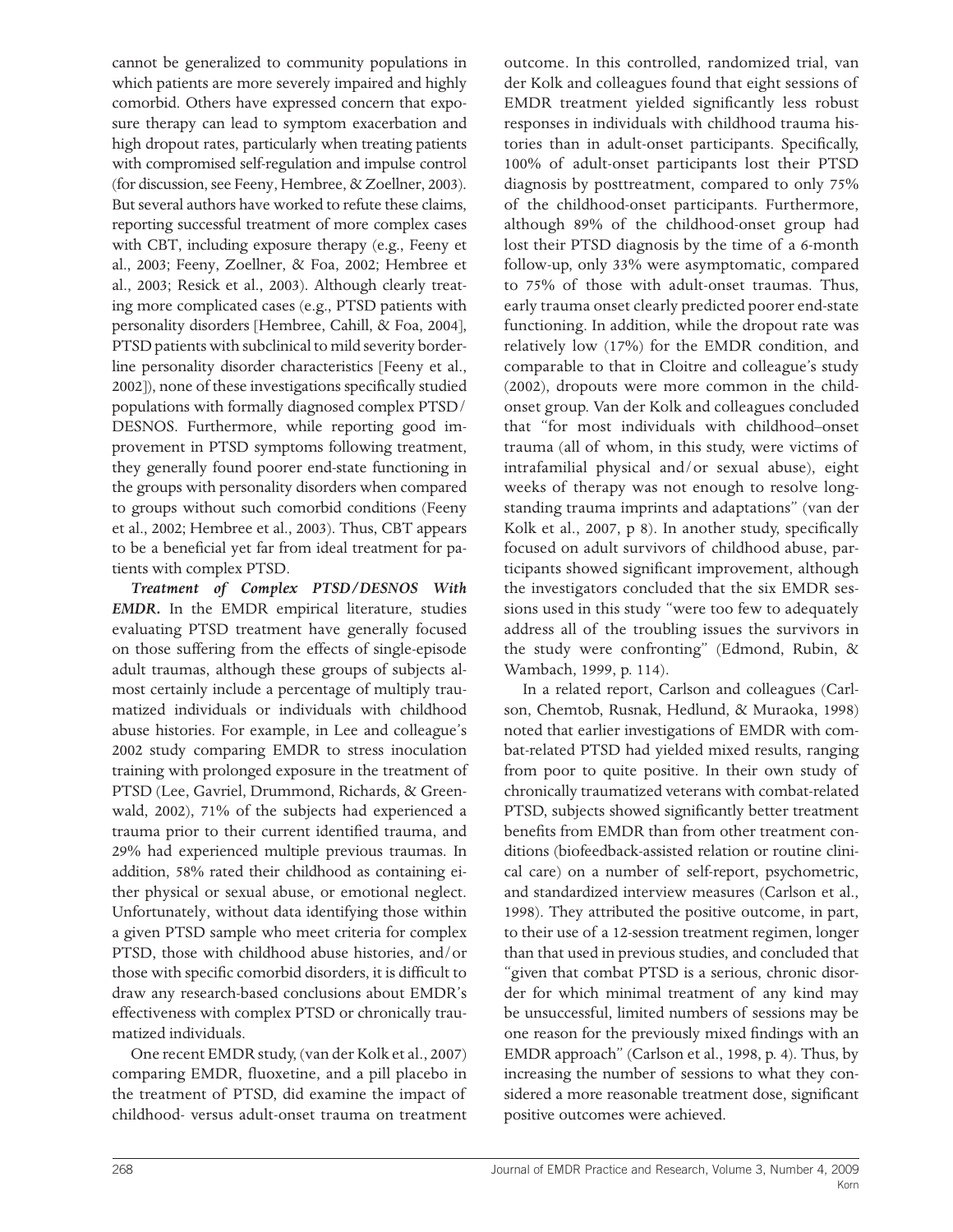cannot be generalized to community populations in which patients are more severely impaired and highly comorbid. Others have expressed concern that exposure therapy can lead to symptom exacerbation and high dropout rates, particularly when treating patients with compromised self-regulation and impulse control (for discussion, see Feeny, Hembree, & Zoellner, 2003). But several authors have worked to refute these claims, reporting successful treatment of more complex cases with CBT, including exposure therapy (e.g., Feeny et al., 2003; Feeny, Zoellner, & Foa, 2002; Hembree et al., 2003; Resick et al., 2003). Although clearly treating more complicated cases (e.g., PTSD patients with personality disorders [Hembree, Cahill, & Foa, 2004], PTSD patients with subclinical to mild severity borderline personality disorder characteristics [Feeny et al., 2002]), none of these investigations specifically studied populations with formally diagnosed complex PTSD/ DESNOS. Furthermore, while reporting good improvement in PTSD symptoms following treatment, they generally found poorer end-state functioning in the groups with personality disorders when compared to groups without such comorbid conditions (Feeny et al., 2002; Hembree et al., 2003). Thus, CBT appears to be a beneficial yet far from ideal treatment for patients with complex PTSD.

 *Treatment of Complex PTSD/DESNOS With EMDR.* In the EMDR empirical literature, studies evaluating PTSD treatment have generally focused on those suffering from the effects of single-episode adult traumas, although these groups of subjects almost certainly include a percentage of multiply traumatized individuals or individuals with childhood abuse histories. For example, in Lee and colleague's 2002 study comparing EMDR to stress inoculation training with prolonged exposure in the treatment of PTSD (Lee, Gavriel, Drummond, Richards, & Greenwald, 2002), 71% of the subjects had experienced a trauma prior to their current identified trauma, and 29% had experienced multiple previous traumas. In addition, 58% rated their childhood as containing either physical or sexual abuse, or emotional neglect. Unfortunately, without data identifying those within a given PTSD sample who meet criteria for complex PTSD, those with childhood abuse histories, and/or those with specific comorbid disorders, it is difficult to draw any research-based conclusions about EMDR's effectiveness with complex PTSD or chronically traumatized individuals.

 One recent EMDR study, (van der Kolk et al., 2007) comparing EMDR, fluoxetine, and a pill placebo in the treatment of PTSD, did examine the impact of childhood- versus adult-onset trauma on treatment

outcome. In this controlled, randomized trial, van der Kolk and colleagues found that eight sessions of EMDR treatment yielded significantly less robust responses in individuals with childhood trauma histories than in adult-onset participants. Specifically, 100% of adult-onset participants lost their PTSD diagnosis by posttreatment, compared to only 75% of the childhood-onset participants. Furthermore, although 89% of the childhood-onset group had lost their PTSD diagnosis by the time of a 6-month follow-up, only 33% were asymptomatic, compared to 75% of those with adult-onset traumas. Thus, early trauma onset clearly predicted poorer end-state functioning. In addition, while the dropout rate was relatively low (17%) for the EMDR condition, and comparable to that in Cloitre and colleague's study (2002), dropouts were more common in the childonset group. Van der Kolk and colleagues concluded that "for most individuals with childhood–onset trauma (all of whom, in this study, were victims of intrafamilial physical and/or sexual abuse), eight weeks of therapy was not enough to resolve longstanding trauma imprints and adaptations" (van der Kolk et al., 2007, p 8). In another study, specifically focused on adult survivors of childhood abuse, participants showed significant improvement, although the investigators concluded that the six EMDR sessions used in this study "were too few to adequately address all of the troubling issues the survivors in the study were confronting" (Edmond, Rubin, & Wambach, 1999, p. 114).

 In a related report, Carlson and colleagues (Carlson, Chemtob, Rusnak, Hedlund, & Muraoka, 1998) noted that earlier investigations of EMDR with combat-related PTSD had yielded mixed results, ranging from poor to quite positive. In their own study of chronically traumatized veterans with combat-related PTSD, subjects showed significantly better treatment benefits from EMDR than from other treatment conditions (biofeedback-assisted relation or routine clinical care) on a number of self-report, psychometric, and standardized interview measures (Carlson et al., 1998). They attributed the positive outcome, in part, to their use of a 12-session treatment regimen, longer than that used in previous studies, and concluded that "given that combat PTSD is a serious, chronic disorder for which minimal treatment of any kind may be unsuccessful, limited numbers of sessions may be one reason for the previously mixed findings with an EMDR approach" (Carlson et al., 1998, p. 4). Thus, by increasing the number of sessions to what they considered a more reasonable treatment dose, significant positive outcomes were achieved.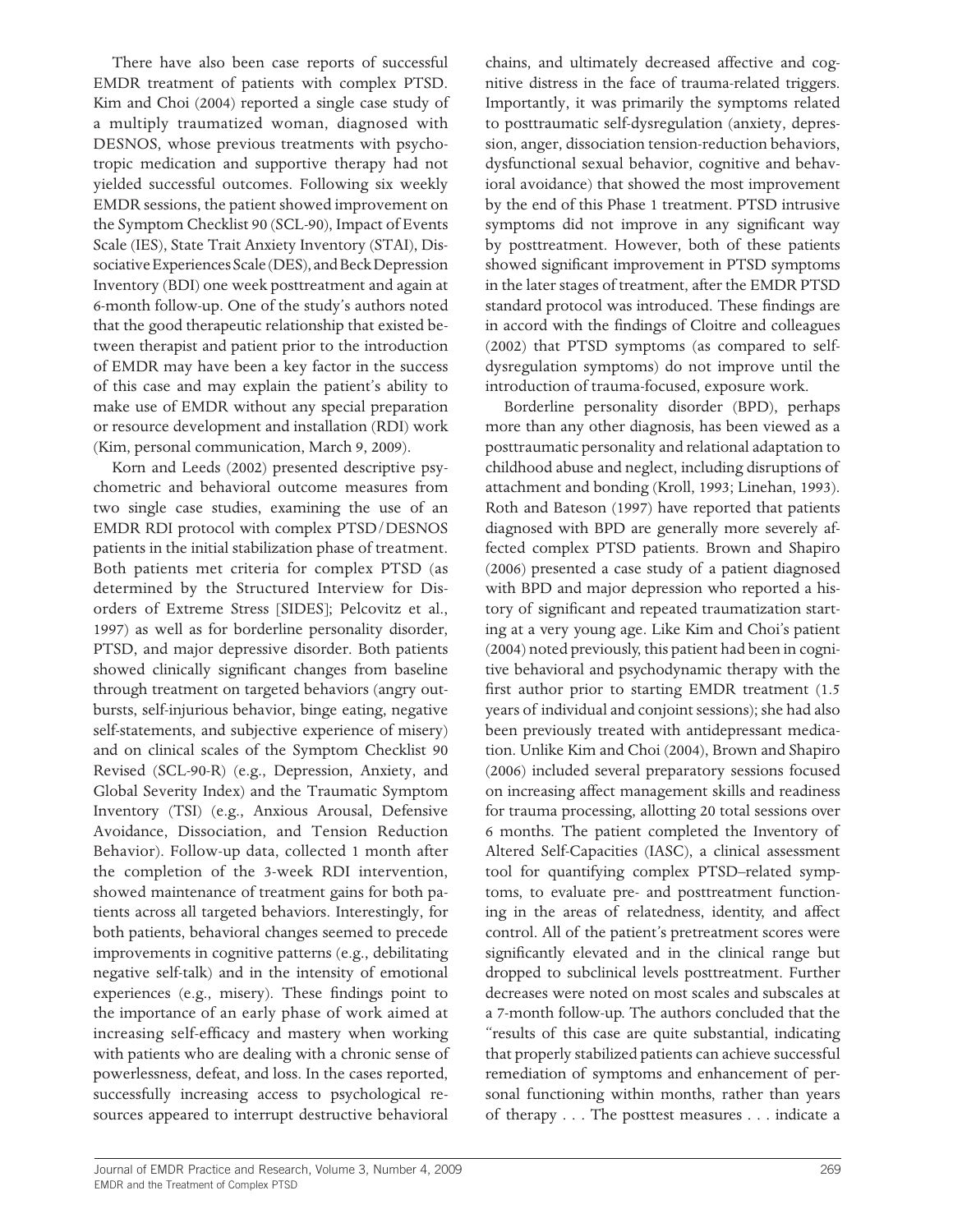There have also been case reports of successful EMDR treatment of patients with complex PTSD. Kim and Choi (2004) reported a single case study of a multiply traumatized woman, diagnosed with DESNOS, whose previous treatments with psychotropic medication and supportive therapy had not yielded successful outcomes. Following six weekly EMDR sessions, the patient showed improvement on the Symptom Checklist 90 (SCL-90), Impact of Events Scale (IES), State Trait Anxiety Inventory (STAI), Dissociative Experiences Scale (DES), and Beck Depression Inventory (BDI) one week posttreatment and again at 6-month follow-up. One of the study's authors noted that the good therapeutic relationship that existed between therapist and patient prior to the introduction of EMDR may have been a key factor in the success of this case and may explain the patient's ability to make use of EMDR without any special preparation or resource development and installation (RDI) work (Kim, personal communication, March 9, 2009).

 Korn and Leeds (2002) presented descriptive psychometric and behavioral outcome measures from two single case studies, examining the use of an EMDR RDI protocol with complex PTSD/DESNOS patients in the initial stabilization phase of treatment. Both patients met criteria for complex PTSD (as determined by the Structured Interview for Disorders of Extreme Stress [SIDES]; Pelcovitz et al., 1997) as well as for borderline personality disorder, PTSD, and major depressive disorder. Both patients showed clinically significant changes from baseline through treatment on targeted behaviors (angry outbursts, self-injurious behavior, binge eating, negative self-statements, and subjective experience of misery) and on clinical scales of the Symptom Checklist 90 Revised (SCL-90-R) (e.g., Depression, Anxiety, and Global Severity Index) and the Traumatic Symptom Inventory (TSI) (e.g., Anxious Arousal, Defensive Avoidance, Dissociation, and Tension Reduction Behavior). Follow-up data, collected 1 month after the completion of the 3-week RDI intervention, showed maintenance of treatment gains for both patients across all targeted behaviors. Interestingly, for both patients, behavioral changes seemed to precede improvements in cognitive patterns (e.g., debilitating negative self-talk) and in the intensity of emotional experiences (e.g., misery). These findings point to the importance of an early phase of work aimed at increasing self-efficacy and mastery when working with patients who are dealing with a chronic sense of powerlessness, defeat, and loss. In the cases reported, successfully increasing access to psychological resources appeared to interrupt destructive behavioral

chains, and ultimately decreased affective and cognitive distress in the face of trauma-related triggers. Importantly, it was primarily the symptoms related to posttraumatic self-dysregulation (anxiety, depression, anger, dissociation tension-reduction behaviors, dysfunctional sexual behavior, cognitive and behavioral avoidance) that showed the most improvement by the end of this Phase 1 treatment. PTSD intrusive symptoms did not improve in any significant way by posttreatment. However, both of these patients showed significant improvement in PTSD symptoms in the later stages of treatment, after the EMDR PTSD standard protocol was introduced. These findings are in accord with the findings of Cloitre and colleagues (2002) that PTSD symptoms (as compared to selfdysregulation symptoms) do not improve until the introduction of trauma-focused, exposure work.

 Borderline personality disorder (BPD), perhaps more than any other diagnosis, has been viewed as a posttraumatic personality and relational adaptation to childhood abuse and neglect, including disruptions of attachment and bonding (Kroll, 1993; Linehan, 1993). Roth and Bateson (1997) have reported that patients diagnosed with BPD are generally more severely affected complex PTSD patients. Brown and Shapiro (2006) presented a case study of a patient diagnosed with BPD and major depression who reported a history of significant and repeated traumatization starting at a very young age. Like Kim and Choi's patient (2004) noted previously, this patient had been in cognitive behavioral and psychodynamic therapy with the first author prior to starting EMDR treatment  $(1.5)$ years of individual and conjoint sessions); she had also been previously treated with antidepressant medication. Unlike Kim and Choi (2004), Brown and Shapiro (2006) included several preparatory sessions focused on increasing affect management skills and readiness for trauma processing, allotting 20 total sessions over 6 months. The patient completed the Inventory of Altered Self-Capacities (IASC), a clinical assessment tool for quantifying complex PTSD–related symptoms, to evaluate pre- and posttreatment functioning in the areas of relatedness, identity, and affect control. All of the patient's pretreatment scores were significantly elevated and in the clinical range but dropped to subclinical levels posttreatment. Further decreases were noted on most scales and subscales at a 7-month follow-up. The authors concluded that the "results of this case are quite substantial, indicating that properly stabilized patients can achieve successful remediation of symptoms and enhancement of personal functioning within months, rather than years of therapy . . . The posttest measures . . . indicate a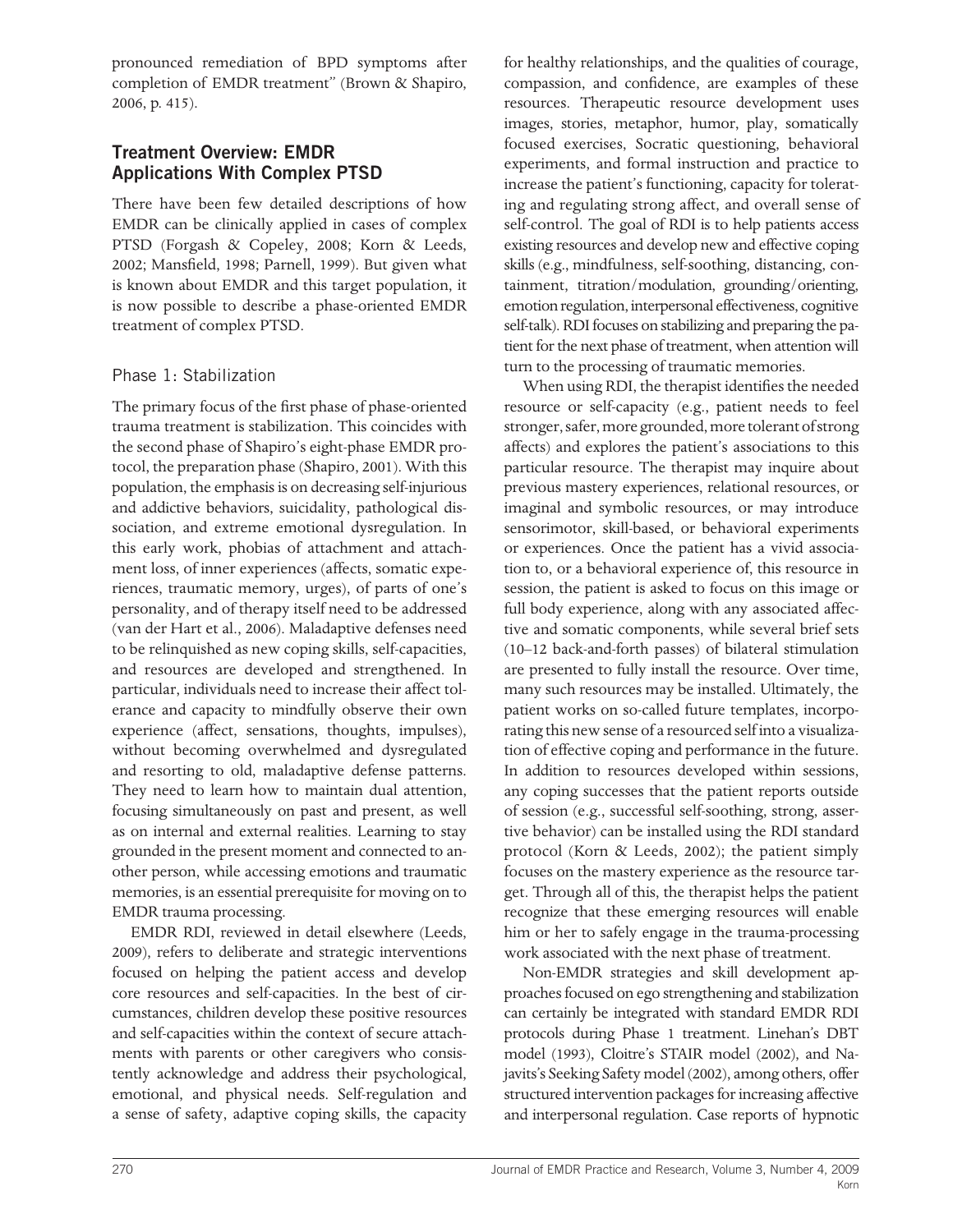pronounced remediation of BPD symptoms after completion of EMDR treatment" (Brown & Shapiro, 2006, p. 415).

#### **Treatment Overview: EMDR Applications With Complex PTSD**

 There have been few detailed descriptions of how EMDR can be clinically applied in cases of complex PTSD (Forgash & Copeley, 2008; Korn & Leeds, 2002; Mansfield, 1998; Parnell, 1999). But given what is known about EMDR and this target population, it is now possible to describe a phase-oriented EMDR treatment of complex PTSD.

#### Phase 1: Stabilization

The primary focus of the first phase of phase-oriented trauma treatment is stabilization. This coincides with the second phase of Shapiro's eight-phase EMDR protocol, the preparation phase (Shapiro, 2001). With this population, the emphasis is on decreasing self-injurious and addictive behaviors, suicidality, pathological dissociation, and extreme emotional dysregulation. In this early work, phobias of attachment and attachment loss, of inner experiences (affects, somatic experiences, traumatic memory, urges), of parts of one's personality, and of therapy itself need to be addressed (van der Hart et al., 2006). Maladaptive defenses need to be relinquished as new coping skills, self-capacities, and resources are developed and strengthened. In particular, individuals need to increase their affect tolerance and capacity to mindfully observe their own experience (affect, sensations, thoughts, impulses), without becoming overwhelmed and dysregulated and resorting to old, maladaptive defense patterns. They need to learn how to maintain dual attention, focusing simultaneously on past and present, as well as on internal and external realities. Learning to stay grounded in the present moment and connected to another person, while accessing emotions and traumatic memories, is an essential prerequisite for moving on to EMDR trauma processing.

 EMDR RDI, reviewed in detail elsewhere (Leeds, 2009), refers to deliberate and strategic interventions focused on helping the patient access and develop core resources and self-capacities. In the best of circumstances, children develop these positive resources and self-capacities within the context of secure attachments with parents or other caregivers who consistently acknowledge and address their psychological, emotional, and physical needs. Self-regulation and a sense of safety, adaptive coping skills, the capacity for healthy relationships, and the qualities of courage, compassion, and confidence, are examples of these resources. Therapeutic resource development uses images, stories, metaphor, humor, play, somatically focused exercises, Socratic questioning, behavioral experiments, and formal instruction and practice to increase the patient's functioning, capacity for tolerating and regulating strong affect, and overall sense of self-control. The goal of RDI is to help patients access existing resources and develop new and effective coping skills (e.g., mindfulness, self-soothing, distancing, containment, titration/modulation, grounding/orienting, emotion regulation, interpersonal effectiveness, cognitive self-talk). RDI focuses on stabilizing and preparing the patient for the next phase of treatment, when attention will turn to the processing of traumatic memories.

When using RDI, the therapist identifies the needed resource or self-capacity (e.g., patient needs to feel stronger, safer, more grounded, more tolerant of strong affects) and explores the patient's associations to this particular resource. The therapist may inquire about previous mastery experiences, relational resources, or imaginal and symbolic resources, or may introduce sensorimotor, skill-based, or behavioral experiments or experiences. Once the patient has a vivid association to, or a behavioral experience of, this resource in session, the patient is asked to focus on this image or full body experience, along with any associated affective and somatic components, while several brief sets (10–12 back-and-forth passes) of bilateral stimulation are presented to fully install the resource. Over time, many such resources may be installed. Ultimately, the patient works on so-called future templates, incorporating this new sense of a resourced self into a visualization of effective coping and performance in the future. In addition to resources developed within sessions, any coping successes that the patient reports outside of session (e.g., successful self-soothing, strong, assertive behavior) can be installed using the RDI standard protocol (Korn & Leeds, 2002); the patient simply focuses on the mastery experience as the resource target. Through all of this, the therapist helps the patient recognize that these emerging resources will enable him or her to safely engage in the trauma-processing work associated with the next phase of treatment.

 Non-EMDR strategies and skill development approaches focused on ego strengthening and stabilization can certainly be integrated with standard EMDR RDI protocols during Phase 1 treatment. Linehan's DBT model (1993), Cloitre's STAIR model (2002), and Najavits's Seeking Safety model (2002), among others, offer structured intervention packages for increasing affective and interpersonal regulation. Case reports of hypnotic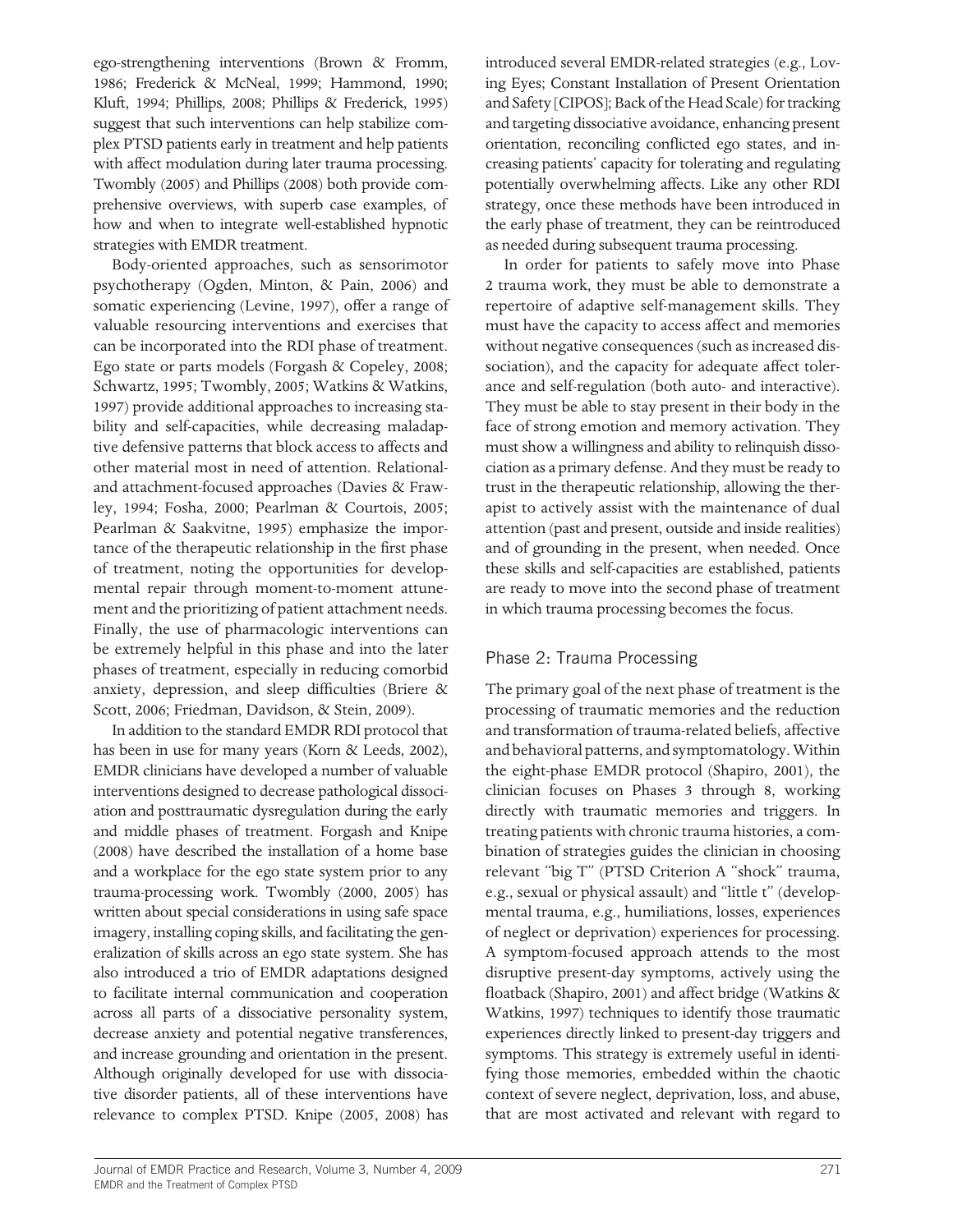ego-strengthening interventions (Brown & Fromm, 1986; Frederick & McNeal, 1999; Hammond, 1990; Kluft, 1994; Phillips, 2008; Phillips & Frederick, 1995) suggest that such interventions can help stabilize complex PTSD patients early in treatment and help patients with affect modulation during later trauma processing. Twombly (2005) and Phillips (2008) both provide comprehensive overviews, with superb case examples, of how and when to integrate well-established hypnotic strategies with EMDR treatment.

 Body-oriented approaches, such as sensorimotor psychotherapy (Ogden, Minton, & Pain, 2006) and somatic experiencing (Levine, 1997), offer a range of valuable resourcing interventions and exercises that can be incorporated into the RDI phase of treatment. Ego state or parts models (Forgash & Copeley, 2008; Schwartz, 1995; Twombly, 2005; Watkins & Watkins, 1997) provide additional approaches to increasing stability and self-capacities, while decreasing maladaptive defensive patterns that block access to affects and other material most in need of attention. Relationaland attachment-focused approaches (Davies & Frawley, 1994; Fosha, 2000; Pearlman & Courtois, 2005; Pearlman & Saakvitne, 1995) emphasize the importance of the therapeutic relationship in the first phase of treatment, noting the opportunities for developmental repair through moment-to-moment attunement and the prioritizing of patient attachment needs. Finally, the use of pharmacologic interventions can be extremely helpful in this phase and into the later phases of treatment, especially in reducing comorbid anxiety, depression, and sleep difficulties (Briere  $\&$ Scott, 2006; Friedman, Davidson, & Stein, 2009).

 In addition to the standard EMDR RDI protocol that has been in use for many years (Korn & Leeds, 2002), EMDR clinicians have developed a number of valuable interventions designed to decrease pathological dissociation and posttraumatic dysregulation during the early and middle phases of treatment. Forgash and Knipe (2008) have described the installation of a home base and a workplace for the ego state system prior to any trauma-processing work. Twombly (2000, 2005) has written about special considerations in using safe space imagery, installing coping skills, and facilitating the generalization of skills across an ego state system. She has also introduced a trio of EMDR adaptations designed to facilitate internal communication and cooperation across all parts of a dissociative personality system, decrease anxiety and potential negative transferences, and increase grounding and orientation in the present. Although originally developed for use with dissociative disorder patients, all of these interventions have relevance to complex PTSD. Knipe (2005, 2008) has  introduced several EMDR-related strategies (e.g., Loving Eyes; Constant Installation of Present Orientation and Safety [CIPOS]; Back of the Head Scale) for tracking and targeting dissociative avoidance, enhancing present orientation, reconciling conflicted ego states, and increasing patients' capacity for tolerating and regulating potentially overwhelming affects. Like any other RDI strategy, once these methods have been introduced in the early phase of treatment, they can be reintroduced as needed during subsequent trauma processing.

 In order for patients to safely move into Phase 2 trauma work, they must be able to demonstrate a repertoire of adaptive self-management skills. They must have the capacity to access affect and memories without negative consequences (such as increased dissociation), and the capacity for adequate affect tolerance and self-regulation (both auto- and interactive). They must be able to stay present in their body in the face of strong emotion and memory activation. They must show a willingness and ability to relinquish dissociation as a primary defense. And they must be ready to trust in the therapeutic relationship, allowing the therapist to actively assist with the maintenance of dual attention (past and present, outside and inside realities) and of grounding in the present, when needed. Once these skills and self-capacities are established, patients are ready to move into the second phase of treatment in which trauma processing becomes the focus.

# Phase 2: Trauma Processing

 The primary goal of the next phase of treatment is the processing of traumatic memories and the reduction and transformation of trauma-related beliefs, affective and behavioral patterns, and symptomatology. Within the eight-phase EMDR protocol (Shapiro, 2001), the clinician focuses on Phases 3 through 8, working directly with traumatic memories and triggers. In treating patients with chronic trauma histories, a combination of strategies guides the clinician in choosing relevant "big T" (PTSD Criterion A "shock" trauma, e.g., sexual or physical assault) and "little t" (developmental trauma, e.g., humiliations, losses, experiences of neglect or deprivation) experiences for processing. A symptom-focused approach attends to the most disruptive present-day symptoms, actively using the floatback (Shapiro, 2001) and affect bridge (Watkins & Watkins, 1997) techniques to identify those traumatic experiences directly linked to present-day triggers and symptoms. This strategy is extremely useful in identifying those memories, embedded within the chaotic context of severe neglect, deprivation, loss, and abuse, that are most activated and relevant with regard to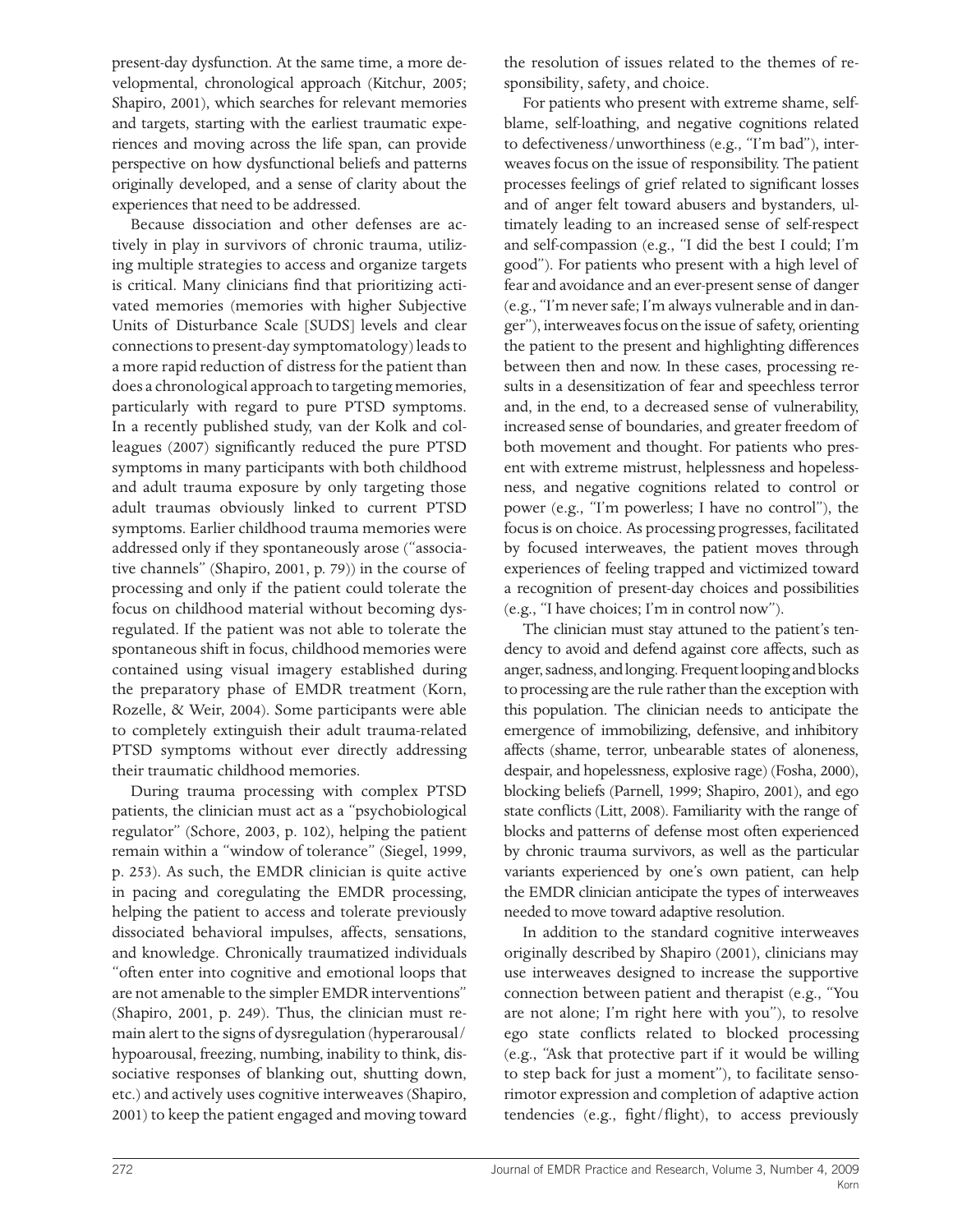present-day dysfunction. At the same time, a more developmental, chronological approach (Kitchur, 2005; Shapiro, 2001), which searches for relevant memories and targets, starting with the earliest traumatic experiences and moving across the life span, can provide perspective on how dysfunctional beliefs and patterns originally developed, and a sense of clarity about the experiences that need to be addressed.

 Because dissociation and other defenses are actively in play in survivors of chronic trauma, utilizing multiple strategies to access and organize targets is critical. Many clinicians find that prioritizing activated memories (memories with higher Subjective Units of Disturbance Scale [SUDS] levels and clear connections to present-day symptomatology) leads to a more rapid reduction of distress for the patient than does a chronological approach to targeting memories, particularly with regard to pure PTSD symptoms. In a recently published study, van der Kolk and colleagues (2007) significantly reduced the pure PTSD symptoms in many participants with both childhood and adult trauma exposure by only targeting those adult traumas obviously linked to current PTSD symptoms. Earlier childhood trauma memories were addressed only if they spontaneously arose ("associative channels" (Shapiro, 2001, p. 79)) in the course of processing and only if the patient could tolerate the focus on childhood material without becoming dysregulated. If the patient was not able to tolerate the spontaneous shift in focus, childhood memories were contained using visual imagery established during the preparatory phase of EMDR treatment (Korn, Rozelle, & Weir, 2004). Some participants were able to completely extinguish their adult trauma-related PTSD symptoms without ever directly addressing their traumatic childhood memories.

 During trauma processing with complex PTSD patients, the clinician must act as a "psychobiological regulator" (Schore, 2003, p. 102), helping the patient remain within a "window of tolerance" (Siegel, 1999, p. 253). As such, the EMDR clinician is quite active in pacing and coregulating the EMDR processing, helping the patient to access and tolerate previously dissociated behavioral impulses, affects, sensations, and knowledge. Chronically traumatized individuals "often enter into cognitive and emotional loops that are not amenable to the simpler EMDR interventions" (Shapiro, 2001, p. 249). Thus, the clinician must remain alert to the signs of dysregulation (hyperarousal/ hypoarousal, freezing, numbing, inability to think, dissociative responses of blanking out, shutting down, etc.) and actively uses cognitive interweaves (Shapiro, 2001) to keep the patient engaged and moving toward the resolution of issues related to the themes of responsibility, safety, and choice.

 For patients who present with extreme shame, selfblame, self-loathing, and negative cognitions related to defectiveness/unworthiness (e.g., "I'm bad"), interweaves focus on the issue of responsibility. The patient processes feelings of grief related to significant losses and of anger felt toward abusers and bystanders, ultimately leading to an increased sense of self-respect and self-compassion (e.g., "I did the best I could; I'm good"). For patients who present with a high level of fear and avoidance and an ever-present sense of danger (e.g., "I'm never safe; I'm always vulnerable and in danger"), interweaves focus on the issue of safety, orienting the patient to the present and highlighting differences between then and now. In these cases, processing results in a desensitization of fear and speechless terror and, in the end, to a decreased sense of vulnerability, increased sense of boundaries, and greater freedom of both movement and thought. For patients who present with extreme mistrust, helplessness and hopelessness, and negative cognitions related to control or power (e.g., "I'm powerless; I have no control"), the focus is on choice. As processing progresses, facilitated by focused interweaves, the patient moves through experiences of feeling trapped and victimized toward a recognition of present-day choices and possibilities (e.g., "I have choices; I'm in control now").

 The clinician must stay attuned to the patient's tendency to avoid and defend against core affects, such as anger, sadness, and longing. Frequent looping and blocks to processing are the rule rather than the exception with this population. The clinician needs to anticipate the emergence of immobilizing, defensive, and inhibitory affects (shame, terror, unbearable states of aloneness, despair, and hopelessness, explosive rage) (Fosha, 2000), blocking beliefs (Parnell, 1999; Shapiro, 2001), and ego state conflicts (Litt, 2008). Familiarity with the range of blocks and patterns of defense most often experienced by chronic trauma survivors, as well as the particular variants experienced by one's own patient, can help the EMDR clinician anticipate the types of interweaves needed to move toward adaptive resolution.

 In addition to the standard cognitive interweaves originally described by Shapiro (2001), clinicians may use interweaves designed to increase the supportive connection between patient and therapist (e.g., "You are not alone; I'm right here with you"), to resolve ego state conflicts related to blocked processing (e.g., "Ask that protective part if it would be willing to step back for just a moment"), to facilitate sensorimotor expression and completion of adaptive action tendencies (e.g., fight/flight), to access previously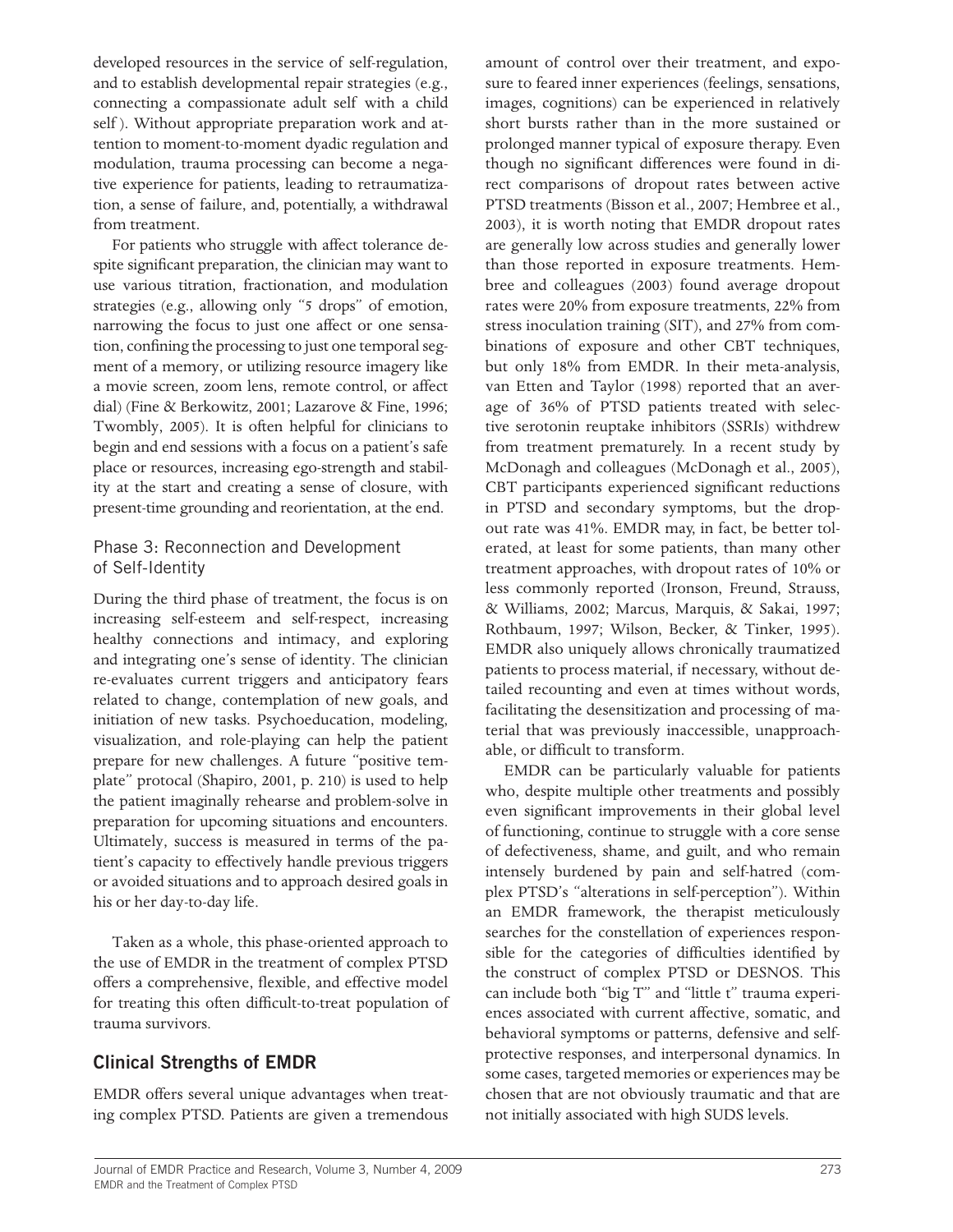developed resources in the service of self-regulation, and to establish developmental repair strategies (e.g., connecting a compassionate adult self with a child self ). Without appropriate preparation work and attention to moment-to-moment dyadic regulation and modulation, trauma processing can become a negative experience for patients, leading to retraumatization, a sense of failure, and, potentially, a withdrawal from treatment.

 For patients who struggle with affect tolerance despite significant preparation, the clinician may want to use various titration, fractionation, and modulation strategies (e.g., allowing only "5 drops" of emotion, narrowing the focus to just one affect or one sensation, confining the processing to just one temporal segment of a memory, or utilizing resource imagery like a movie screen, zoom lens, remote control, or affect dial) (Fine & Berkowitz, 2001; Lazarove & Fine, 1996; Twombly, 2005). It is often helpful for clinicians to begin and end sessions with a focus on a patient's safe place or resources, increasing ego-strength and stability at the start and creating a sense of closure, with present-time grounding and reorientation, at the end.

#### Phase 3: Reconnection and Development of Self-Identity

 During the third phase of treatment, the focus is on increasing self-esteem and self-respect, increasing healthy connections and intimacy, and exploring and integrating one's sense of identity. The clinician re-evaluates current triggers and anticipatory fears related to change, contemplation of new goals, and initiation of new tasks. Psychoeducation, modeling, visualization, and role-playing can help the patient prepare for new challenges. A future "positive template" protocal (Shapiro, 2001, p. 210) is used to help the patient imaginally rehearse and problem-solve in preparation for upcoming situations and encounters. Ultimately, success is measured in terms of the patient's capacity to effectively handle previous triggers or avoided situations and to approach desired goals in his or her day-to-day life.

 Taken as a whole, this phase-oriented approach to the use of EMDR in the treatment of complex PTSD offers a comprehensive, flexible, and effective model for treating this often difficult-to-treat population of trauma survivors.

# **Clinical Strengths of EMDR**

 EMDR offers several unique advantages when treating complex PTSD. Patients are given a tremendous amount of control over their treatment, and exposure to feared inner experiences (feelings, sensations, images, cognitions) can be experienced in relatively short bursts rather than in the more sustained or prolonged manner typical of exposure therapy. Even though no significant differences were found in direct comparisons of dropout rates between active PTSD treatments (Bisson et al., 2007; Hembree et al., 2003), it is worth noting that EMDR dropout rates are generally low across studies and generally lower than those reported in exposure treatments. Hembree and colleagues (2003) found average dropout rates were 20% from exposure treatments, 22% from stress inoculation training (SIT), and 27% from combinations of exposure and other CBT techniques, but only 18% from EMDR. In their meta-analysis, van Etten and Taylor (1998) reported that an average of 36% of PTSD patients treated with selective serotonin reuptake inhibitors (SSRIs) withdrew from treatment prematurely. In a recent study by McDonagh and colleagues (McDonagh et al., 2005), CBT participants experienced significant reductions in PTSD and secondary symptoms, but the dropout rate was 41%. EMDR may, in fact, be better tolerated, at least for some patients, than many other treatment approaches, with dropout rates of 10% or less commonly reported (Ironson, Freund, Strauss, & Williams, 2002; Marcus, Marquis, & Sakai, 1997; Rothbaum, 1997; Wilson, Becker, & Tinker, 1995). EMDR also uniquely allows chronically traumatized patients to process material, if necessary, without detailed recounting and even at times without words, facilitating the desensitization and processing of material that was previously inaccessible, unapproachable, or difficult to transform.

 EMDR can be particularly valuable for patients who, despite multiple other treatments and possibly even significant improvements in their global level of functioning, continue to struggle with a core sense of defectiveness, shame, and guilt, and who remain intensely burdened by pain and self-hatred (complex PTSD's "alterations in self-perception"). Within an EMDR framework, the therapist meticulously searches for the constellation of experiences responsible for the categories of difficulties identified by the construct of complex PTSD or DESNOS. This can include both "big T" and "little t" trauma experiences associated with current affective, somatic, and behavioral symptoms or patterns, defensive and selfprotective responses, and interpersonal dynamics. In some cases, targeted memories or experiences may be chosen that are not obviously traumatic and that are not initially associated with high SUDS levels.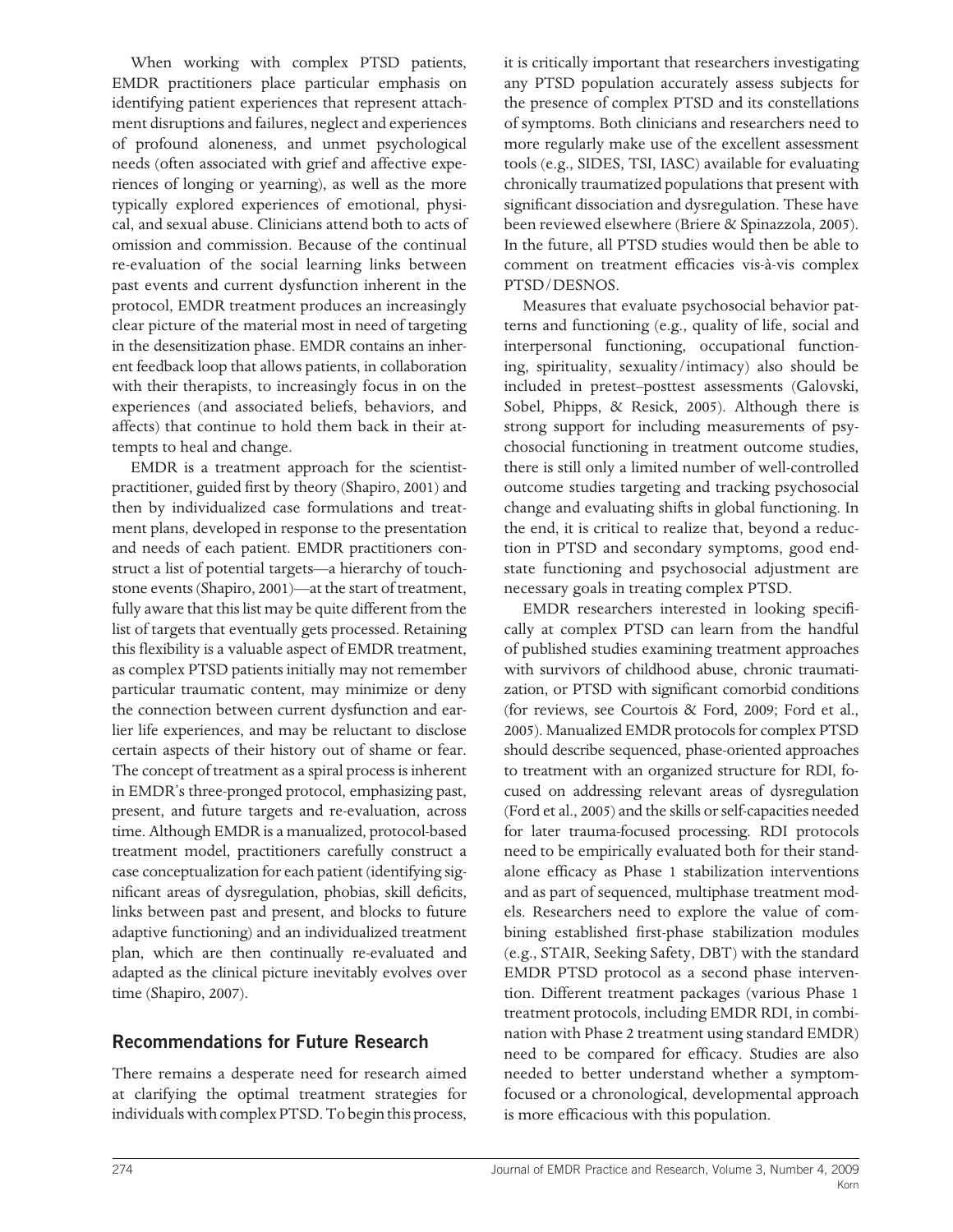When working with complex PTSD patients, EMDR practitioners place particular emphasis on identifying patient experiences that represent attachment disruptions and failures, neglect and experiences of profound aloneness, and unmet psychological needs (often associated with grief and affective experiences of longing or yearning), as well as the more typically explored experiences of emotional, physical, and sexual abuse. Clinicians attend both to acts of omission and commission. Because of the continual re-evaluation of the social learning links between past events and current dysfunction inherent in the protocol, EMDR treatment produces an increasingly clear picture of the material most in need of targeting in the desensitization phase. EMDR contains an inherent feedback loop that allows patients, in collaboration with their therapists, to increasingly focus in on the experiences (and associated beliefs, behaviors, and affects) that continue to hold them back in their attempts to heal and change.

 EMDR is a treatment approach for the scientistpractitioner, guided first by theory (Shapiro, 2001) and then by individualized case formulations and treatment plans, developed in response to the presentation and needs of each patient. EMDR practitioners construct a list of potential targets—a hierarchy of touchstone events (Shapiro, 2001)-at the start of treatment, fully aware that this list may be quite different from the list of targets that eventually gets processed. Retaining this flexibility is a valuable aspect of EMDR treatment, as complex PTSD patients initially may not remember particular traumatic content, may minimize or deny the connection between current dysfunction and earlier life experiences, and may be reluctant to disclose certain aspects of their history out of shame or fear. The concept of treatment as a spiral process is inherent in EMDR's three-pronged protocol, emphasizing past, present, and future targets and re-evaluation, across time. Although EMDR is a manualized, protocol-based treatment model, practitioners carefully construct a case conceptualization for each patient (identifying significant areas of dysregulation, phobias, skill deficits, links between past and present, and blocks to future adaptive functioning) and an individualized treatment plan, which are then continually re-evaluated and adapted as the clinical picture inevitably evolves over time (Shapiro, 2007).

#### **Recommendations for Future Research**

 There remains a desperate need for research aimed at clarifying the optimal treatment strategies for individuals with complex PTSD. To begin this process, it is critically important that researchers investigating any PTSD population accurately assess subjects for the presence of complex PTSD and its constellations of symptoms. Both clinicians and researchers need to more regularly make use of the excellent assessment tools (e.g., SIDES, TSI, IASC) available for evaluating chronically traumatized populations that present with significant dissociation and dysregulation. These have been reviewed elsewhere (Briere & Spinazzola, 2005). In the future, all PTSD studies would then be able to comment on treatment efficacies vis-à-vis complex PTSD/DESNOS.

 Measures that evaluate psychosocial behavior patterns and functioning (e.g., quality of life, social and interpersonal functioning, occupational functioning, spirituality, sexuality/intimacy) also should be included in pretest–posttest assessments (Galovski, Sobel, Phipps, & Resick, 2005). Although there is strong support for including measurements of psychosocial functioning in treatment outcome studies, there is still only a limited number of well-controlled outcome studies targeting and tracking psychosocial change and evaluating shifts in global functioning. In the end, it is critical to realize that, beyond a reduction in PTSD and secondary symptoms, good endstate functioning and psychosocial adjustment are necessary goals in treating complex PTSD.

EMDR researchers interested in looking specifically at complex PTSD can learn from the handful of published studies examining treatment approaches with survivors of childhood abuse, chronic traumatization, or PTSD with significant comorbid conditions (for reviews, see Courtois & Ford, 2009; Ford et al., 2005). Manualized EMDR protocols for complex PTSD should describe sequenced, phase-oriented approaches to treatment with an organized structure for RDI, focused on addressing relevant areas of dysregulation (Ford et al., 2005) and the skills or self-capacities needed for later trauma-focused processing. RDI protocols need to be empirically evaluated both for their standalone efficacy as Phase 1 stabilization interventions and as part of sequenced, multiphase treatment models. Researchers need to explore the value of combining established first-phase stabilization modules (e.g., STAIR, Seeking Safety, DBT) with the standard EMDR PTSD protocol as a second phase intervention. Different treatment packages (various Phase 1 treatment protocols, including EMDR RDI, in combination with Phase 2 treatment using standard EMDR) need to be compared for efficacy. Studies are also needed to better understand whether a symptomfocused or a chronological, developmental approach is more efficacious with this population.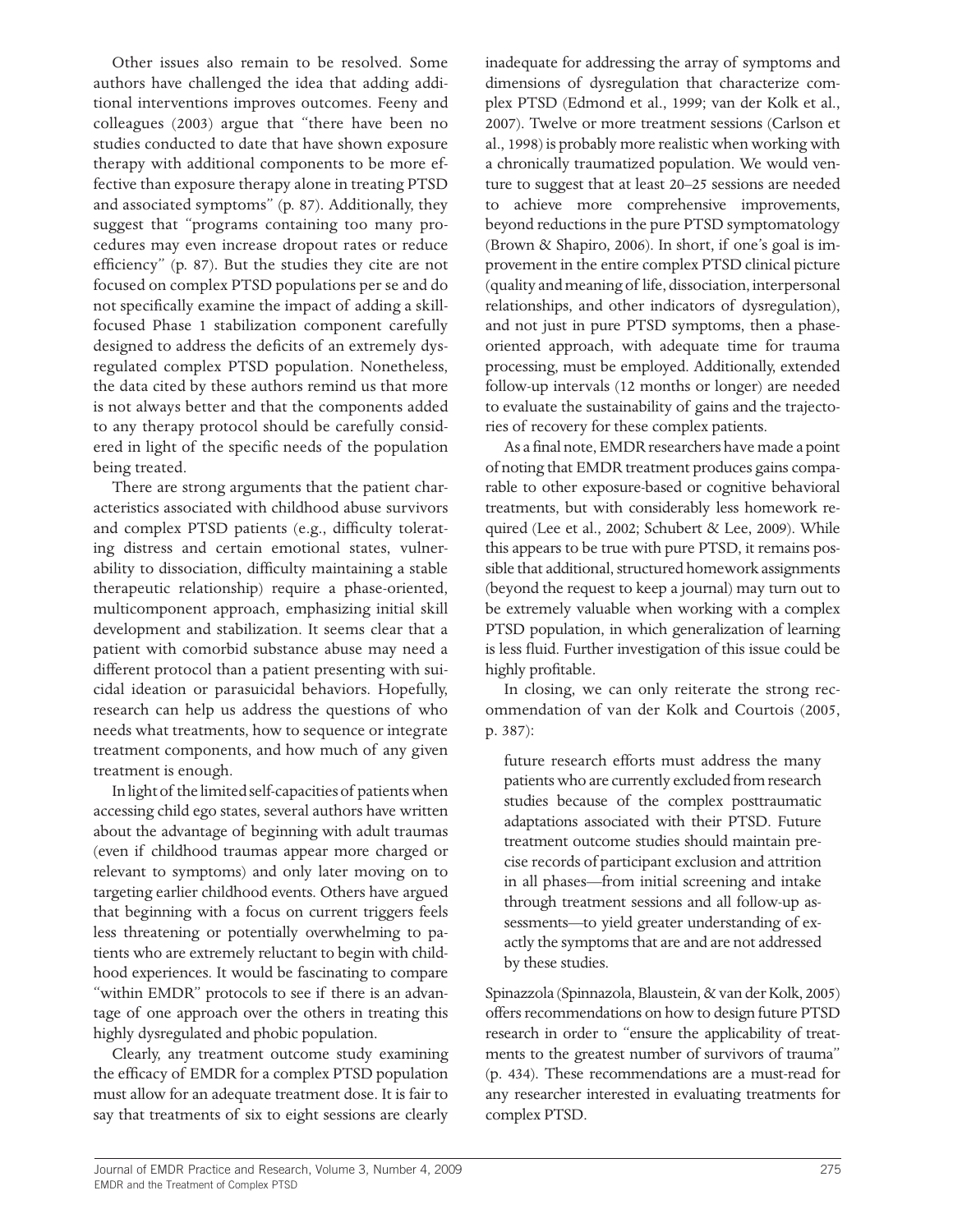Other issues also remain to be resolved. Some authors have challenged the idea that adding additional interventions improves outcomes. Feeny and colleagues (2003) argue that "there have been no studies conducted to date that have shown exposure therapy with additional components to be more effective than exposure therapy alone in treating PTSD and associated symptoms" (p. 87). Additionally, they suggest that "programs containing too many procedures may even increase dropout rates or reduce efficiency" (p. 87). But the studies they cite are not focused on complex PTSD populations per se and do not specifically examine the impact of adding a skillfocused Phase 1 stabilization component carefully designed to address the deficits of an extremely dysregulated complex PTSD population. Nonetheless, the data cited by these authors remind us that more is not always better and that the components added to any therapy protocol should be carefully considered in light of the specific needs of the population being treated.

 There are strong arguments that the patient characteristics associated with childhood abuse survivors and complex PTSD patients (e.g., difficulty tolerating distress and certain emotional states, vulnerability to dissociation, difficulty maintaining a stable therapeutic relationship) require a phase-oriented, multicomponent approach, emphasizing initial skill development and stabilization. It seems clear that a patient with comorbid substance abuse may need a different protocol than a patient presenting with suicidal ideation or parasuicidal behaviors. Hopefully, research can help us address the questions of who needs what treatments, how to sequence or integrate treatment components, and how much of any given treatment is enough.

 In light of the limited self-capacities of patients when accessing child ego states, several authors have written about the advantage of beginning with adult traumas (even if childhood traumas appear more charged or relevant to symptoms) and only later moving on to targeting earlier childhood events. Others have argued that beginning with a focus on current triggers feels less threatening or potentially overwhelming to patients who are extremely reluctant to begin with childhood experiences. It would be fascinating to compare "within EMDR" protocols to see if there is an advantage of one approach over the others in treating this highly dysregulated and phobic population.

 Clearly, any treatment outcome study examining the efficacy of EMDR for a complex PTSD population must allow for an adequate treatment dose. It is fair to say that treatments of six to eight sessions are clearly

inadequate for addressing the array of symptoms and dimensions of dysregulation that characterize complex PTSD (Edmond et al., 1999; van der Kolk et al., 2007). Twelve or more treatment sessions (Carlson et al., 1998) is probably more realistic when working with a chronically traumatized population. We would venture to suggest that at least 20–25 sessions are needed to achieve more comprehensive improvements, beyond reductions in the pure PTSD symptomatology (Brown & Shapiro, 2006). In short, if one's goal is improvement in the entire complex PTSD clinical picture (quality and meaning of life, dissociation, interpersonal relationships, and other indicators of dysregulation), and not just in pure PTSD symptoms, then a phaseoriented approach, with adequate time for trauma processing, must be employed. Additionally, extended follow-up intervals (12 months or longer) are needed to evaluate the sustainability of gains and the trajectories of recovery for these complex patients.

As a final note, EMDR researchers have made a point of noting that EMDR treatment produces gains comparable to other exposure-based or cognitive behavioral treatments, but with considerably less homework required (Lee et al., 2002; Schubert & Lee, 2009). While this appears to be true with pure PTSD, it remains possible that additional, structured homework assignments (beyond the request to keep a journal) may turn out to be extremely valuable when working with a complex PTSD population, in which generalization of learning is less fluid. Further investigation of this issue could be highly profitable.

 In closing, we can only reiterate the strong recommendation of van der Kolk and Courtois (2005, p. 387):

 future research efforts must address the many patients who are currently excluded from research studies because of the complex posttraumatic adaptations associated with their PTSD. Future treatment outcome studies should maintain precise records of participant exclusion and attrition in all phases—from initial screening and intake through treatment sessions and all follow-up assessments—to yield greater understanding of exactly the symptoms that are and are not addressed by these studies.

 Spinazzola (Spinnazola, Blaustein, & van der Kolk, 2005) offers recommendations on how to design future PTSD research in order to "ensure the applicability of treatments to the greatest number of survivors of trauma" (p. 434). These recommendations are a must-read for any researcher interested in evaluating treatments for complex PTSD.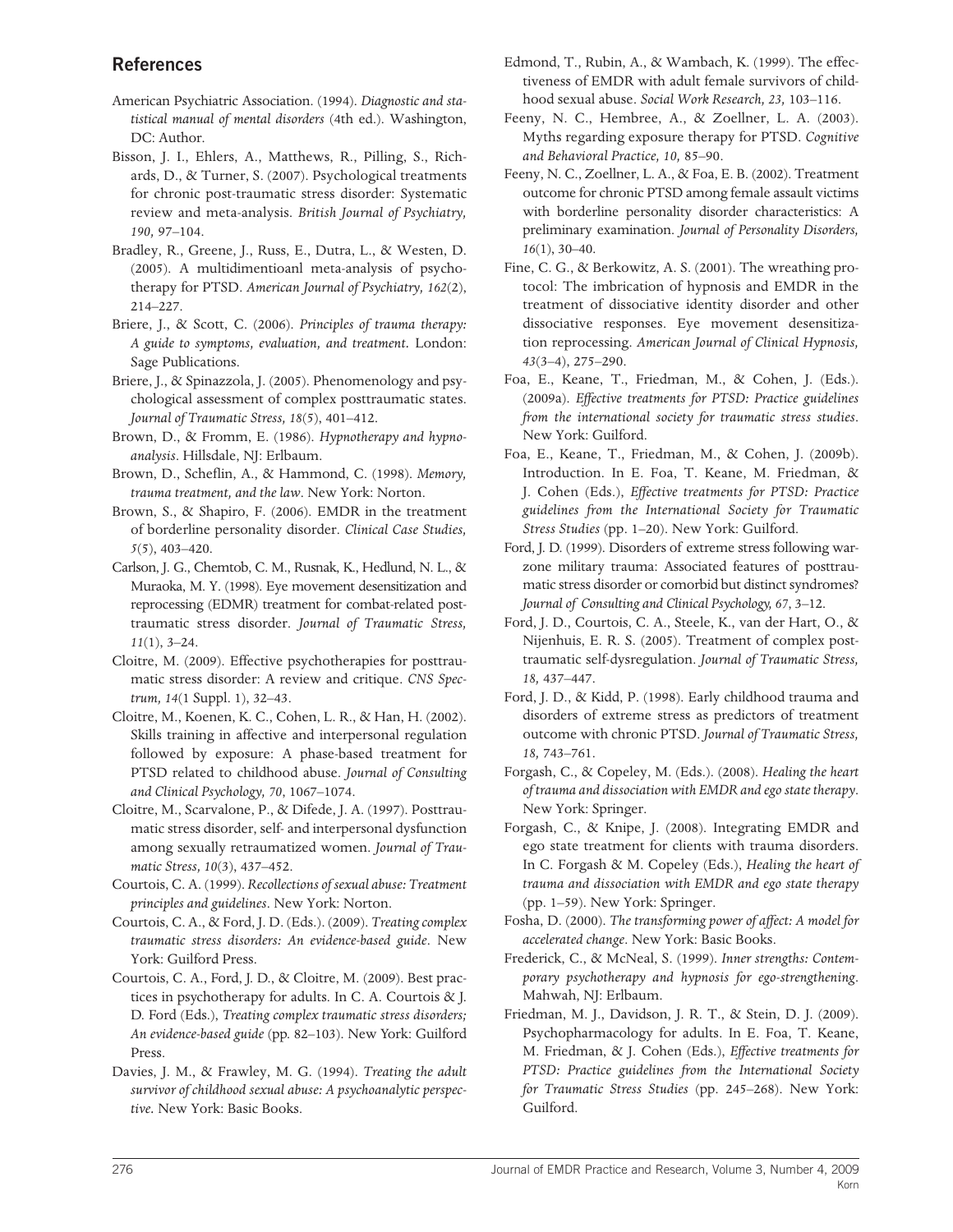### **References**

- American Psychiatric Association. (1994). *Diagnostic and statistical manual of mental disorders* (4th ed.). Washington, DC: Author.
- Bisson, J. I., Ehlers, A., Matthews, R., Pilling, S., Richards, D., & Turner, S. (2007). Psychological treatments for chronic post-traumatic stress disorder: Systematic review and meta-analysis. *British Journal of Psychiatry, 190,* 97–104.
- Bradley, R., Greene, J., Russ, E., Dutra, L., & Westen, D. (2005). A multidimentioanl meta-analysis of psychotherapy for PTSD. American Journal of Psychiatry, 162(2), 214–227.
- Briere, J., & Scott, C. (2006). *Principles of trauma therapy: A guide to symptoms, evaluation, and treatment.* London: Sage Publications.
- Briere, J., & Spinazzola, J. (2005). Phenomenology and psychological assessment of complex posttraumatic states. *Journal of Traumatic Stress, 18* (5), 401–412.
- Brown, D., & Fromm, E. (1986). *Hypnotherapy and hypnoanalysis* . Hillsdale, NJ: Erlbaum.
- Brown, D., Scheflin, A., & Hammond, C. (1998). *Memory*, trauma treatment, and the law. New York: Norton.
- Brown, S., & Shapiro, F. (2006). EMDR in the treatment of borderline personality disorder. *Clinical Case Studies, 5* (5), 403–420.
- Carlson, J. G., Chemtob, C. M., Rusnak, K., Hedlund, N. L., & Muraoka, M. Y. (1998). Eye movement desensitization and reprocessing (EDMR) treatment for combat-related posttraumatic stress disorder. *Journal of Traumatic Stress, 11* (1), 3–24.
- Cloitre, M. (2009). Effective psychotherapies for posttraumatic stress disorder: A review and critique. *CNS Spec*trum, 14(1 Suppl. 1), 32-43.
- Cloitre, M., Koenen, K. C., Cohen, L. R., & Han, H. (2002). Skills training in affective and interpersonal regulation followed by exposure: A phase-based treatment for PTSD related to childhood abuse. *Journal of Consulting and Clinical Psychology, 70* , 1067–1074.
- Cloitre, M., Scarvalone, P., & Difede, J. A. (1997). Posttraumatic stress disorder, self- and interpersonal dysfunction among sexually retraumatized women. *Journal of Traumatic Stress, 10(3), 437-452.*
- Courtois, C. A. (1999). *Recollections of sexual abuse: Treatment principles and guidelines* . New York: Norton.
- Courtois, C. A., & Ford, J. D. (Eds.). (2009). *Treating complex traumatic stress disorders: An evidence-based guide* . New York: Guilford Press.
- Courtois, C. A., Ford, J. D., & Cloitre, M. (2009). Best practices in psychotherapy for adults. In C. A. Courtois & J. D. Ford (Eds.), *Treating complex traumatic stress disorders; An evidence-based guide* (pp. 82–103). New York: Guilford Press.
- Davies, J. M., & Frawley, M. G. (1994). *Treating the adult survivor of childhood sexual abuse: A psychoanalytic perspective.* New York: Basic Books.
- Edmond, T., Rubin, A., & Wambach, K. (1999). The effectiveness of EMDR with adult female survivors of childhood sexual abuse. *Social Work Research, 23,* 103–116.
- Feeny, N. C., Hembree, A., & Zoellner, L. A. (2003). Myths regarding exposure therapy for PTSD. *Cognitive and Behavioral Practice, 10,* 85–90.
- Feeny, N. C., Zoellner, L. A., & Foa, E. B. (2002). Treatment outcome for chronic PTSD among female assault victims with borderline personality disorder characteristics: A preliminary examination. *Journal of Personality Disorders,*  16(1), 30–40.
- Fine, C. G., & Berkowitz, A. S. (2001). The wreathing protocol: The imbrication of hypnosis and EMDR in the treatment of dissociative identity disorder and other dissociative responses. Eye movement desensitization reprocessing. *American Journal of Clinical Hypnosis, 43* (3–4), 275–290.
- Foa, E., Keane, T., Friedman, M., & Cohen, J. (Eds.). (2009a). *Effective treatments for PTSD: Practice guidelines from the international society for traumatic stress studies* . New York: Guilford.
- Foa, E., Keane, T., Friedman, M., & Cohen, J. (2009b). Introduction. In E. Foa, T. Keane, M. Friedman, & J. Cohen (Eds.), *Effective treatments for PTSD: Practice guidelines from the International Society for Traumatic Stress Studies* (pp. 1–20). New York: Guilford.
- Ford, J. D. (1999). Disorders of extreme stress following warzone military trauma: Associated features of posttraumatic stress disorder or comorbid but distinct syndromes? *Journal of Consulting and Clinical Psychology, 67* , 3–12.
- Ford, J. D., Courtois, C. A., Steele, K., van der Hart, O., & Nijenhuis, E. R. S. (2005). Treatment of complex posttraumatic self-dysregulation. *Journal of Traumatic Stress, 18,* 437–447.
- Ford, J. D., & Kidd, P. (1998). Early childhood trauma and disorders of extreme stress as predictors of treatment outcome with chronic PTSD. *Journal of Traumatic Stress, 18,* 743–761.
- Forgash, C., & Copeley, M. (Eds.). (2008). *Healing the heart of trauma and dissociation with EMDR and ego state therapy* . New York: Springer.
- Forgash, C., & Knipe, J. (2008). Integrating EMDR and ego state treatment for clients with trauma disorders. In C. Forgash & M. Copeley (Eds.), *Healing the heart of trauma and dissociation with EMDR and ego state therapy* (pp. 1–59). New York: Springer.
- Fosha, D. (2000). *The transforming power of affect: A model for accelerated change* . New York: Basic Books.
- Frederick, C., & McNeal, S. (1999). *Inner strengths: Contemporary psychotherapy and hypnosis for ego-strengthening* . Mahwah, NJ: Erlbaum.
- Friedman, M. J., Davidson, J. R. T., & Stein, D. J. (2009). Psychopharmacology for adults. In E. Foa, T. Keane, M. Friedman, & J. Cohen (Eds.), *Effective treatments for PTSD: Practice guidelines from the International Society for Traumatic Stress Studies* (pp. 245–268). New York: Guilford.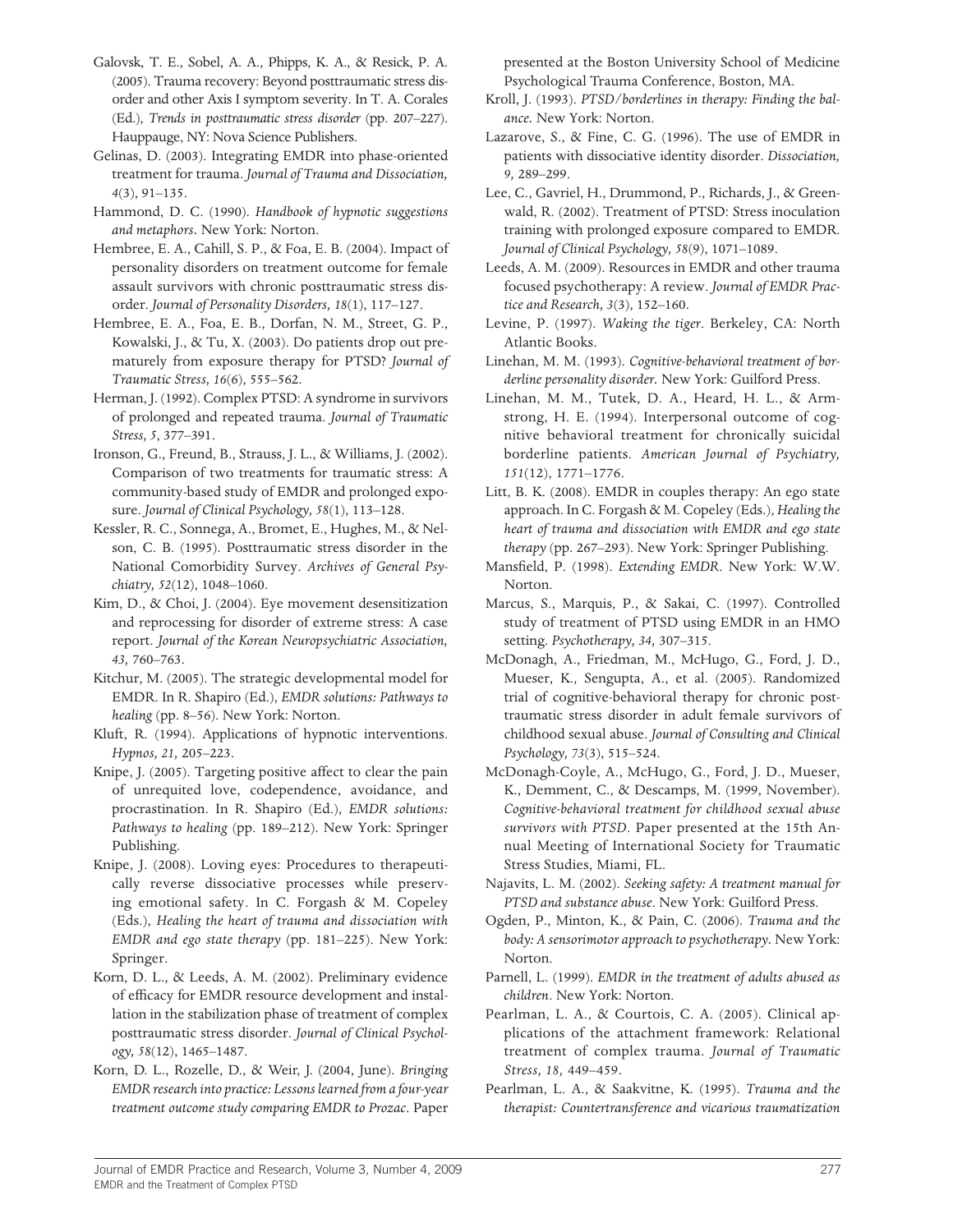- Galovsk, T. E., Sobel, A. A., Phipps, K. A., & Resick, P. A. (2005). Trauma recovery: Beyond posttraumatic stress disorder and other Axis I symptom severity. In T. A. Corales (Ed.), *Trends in posttraumatic stress disorder* (pp. 207–227). Hauppauge, NY: Nova Science Publishers.
- Gelinas, D. (2003). Integrating EMDR into phase-oriented treatment for trauma. *Journal of Trauma and Dissociation, 4* (3), 91–135.
- Hammond, D. C. (1990). *Handbook of hypnotic suggestions and metaphors.* New York: Norton.
- Hembree, E. A., Cahill, S. P., & Foa, E. B. (2004). Impact of personality disorders on treatment outcome for female assault survivors with chronic posttraumatic stress disorder. *Journal of Personality Disorders, 18* (1), 117–127.
- Hembree, E. A., Foa, E. B., Dorfan, N. M., Street, G. P., Kowalski, J., & Tu, X. (2003). Do patients drop out prematurely from exposure therapy for PTSD? *Journal of Traumatic Stress, 16* (6), 555–562.
- Herman, J. (1992). Complex PTSD: A syndrome in survivors of prolonged and repeated trauma. *Journal of Traumatic Stress, 5* , 377–391.
- Ironson, G., Freund, B., Strauss, J. L., & Williams, J. (2002). Comparison of two treatments for traumatic stress: A community-based study of EMDR and prolonged exposure. *Journal of Clinical Psychology, 58* (1), 113–128.
- Kessler, R. C., Sonnega, A., Bromet, E., Hughes, M., & Nelson, C. B. (1995). Posttraumatic stress disorder in the National Comorbidity Survey. *Archives of General Psychiatry, 52* (12), 1048–1060.
- Kim, D., & Choi, J. (2004). Eye movement desensitization and reprocessing for disorder of extreme stress: A case report. *Journal of the Korean Neuropsychiatric Association, 43,* 760–763.
- Kitchur, M. (2005). The strategic developmental model for EMDR. In R. Shapiro (Ed.), *EMDR solutions: Pathways to healing* (pp. 8–56). New York: Norton.
- Kluft, R. (1994). Applications of hypnotic interventions. *Hypnos, 21,* 205–223.
- Knipe, J. (2005). Targeting positive affect to clear the pain of unrequited love, codependence, avoidance, and procrastination. In R. Shapiro (Ed.), *EMDR solutions: Pathways to healing* (pp. 189–212). New York: Springer Publishing.
- Knipe, J. (2008). Loving eyes: Procedures to therapeutically reverse dissociative processes while preserving emotional safety. In C. Forgash & M. Copeley (Eds.), *Healing the heart of trauma and dissociation with EMDR and ego state therapy* (pp. 181–225). New York: Springer.
- Korn, D. L., & Leeds, A. M. (2002). Preliminary evidence of efficacy for EMDR resource development and installation in the stabilization phase of treatment of complex posttraumatic stress disorder. *Journal of Clinical Psychology, 58* (12), 1465–1487.
- Korn, D. L., Rozelle, D., & Weir, J. (2004, June). *Bringing EMDR research into practice: Lessons learned from a four-year treatment outcome study comparing EMDR to Prozac* . Paper

presented at the Boston University School of Medicine Psychological Trauma Conference, Boston, MA.

- Kroll, J. (1993). *PTSD/borderlines in therapy: Finding the balance.* New York: Norton.
- Lazarove, S., & Fine, C. G. (1996). The use of EMDR in patients with dissociative identity disorder. *Dissociation, 9,* 289–299.
- Lee, C., Gavriel, H., Drummond, P., Richards, J., & Greenwald, R. (2002). Treatment of PTSD: Stress inoculation training with prolonged exposure compared to EMDR. *Journal of Clinical Psychology, 58* (9), 1071–1089.
- Leeds, A. M. (2009). Resources in EMDR and other trauma focused psychotherapy: A review. *Journal of EMDR Practice and Research, 3* (3), 152–160.
- Levine, P. (1997). *Waking the tiger*. Berkeley, CA: North Atlantic Books.
- Linehan, M. M. (1993). *Cognitive-behavioral treatment of borderline personality disorder.* New York: Guilford Press.
- Linehan, M. M., Tutek, D. A., Heard, H. L., & Armstrong, H. E. (1994). Interpersonal outcome of cognitive behavioral treatment for chronically suicidal borderline patients. *American Journal of Psychiatry, 151* (12), 1771–1776.
- Litt, B. K. (2008). EMDR in couples therapy: An ego state approach. In C. Forgash & M. Copeley (Eds.), *Healing the heart of trauma and dissociation with EMDR and ego state therapy* (pp. 267–293). New York: Springer Publishing.
- Mansfield, P. (1998). *Extending EMDR*. New York: W.W. Norton.
- Marcus, S., Marquis, P., & Sakai, C. (1997). Controlled study of treatment of PTSD using EMDR in an HMO setting. *Psychotherapy, 34,* 307–315.
- McDonagh, A., Friedman, M., McHugo, G., Ford, J. D., Mueser, K., Sengupta, A., et al. (2005). Randomized trial of cognitive-behavioral therapy for chronic posttraumatic stress disorder in adult female survivors of childhood sexual abuse. *Journal of Consulting and Clinical Psychology, 73* (3), 515–524.
- McDonagh-Coyle, A., McHugo, G., Ford, J. D., Mueser, K., Demment, C., & Descamps, M. (1999, November). *Cognitive-behavioral treatment for childhood sexual abuse*  survivors with PTSD. Paper presented at the 15th Annual Meeting of International Society for Traumatic Stress Studies, Miami, FL.
- Najavits, L. M. (2002). *Seeking safety: A treatment manual for PTSD and substance abuse* . New York: Guilford Press.
- Ogden, P., Minton, K., & Pain, C. (2006). *Trauma and the body: A sensorimotor approach to psychotherapy.* New York: Norton.
- Parnell, L. (1999). *EMDR in the treatment of adults abused as children* . New York: Norton.
- Pearlman, L. A., & Courtois, C. A. (2005). Clinical applications of the attachment framework: Relational treatment of complex trauma. *Journal of Traumatic Stress, 18,* 449–459.
- Pearlman, L. A., & Saakvitne, K. (1995). *Trauma and the therapist: Countertransference and vicarious traumatization*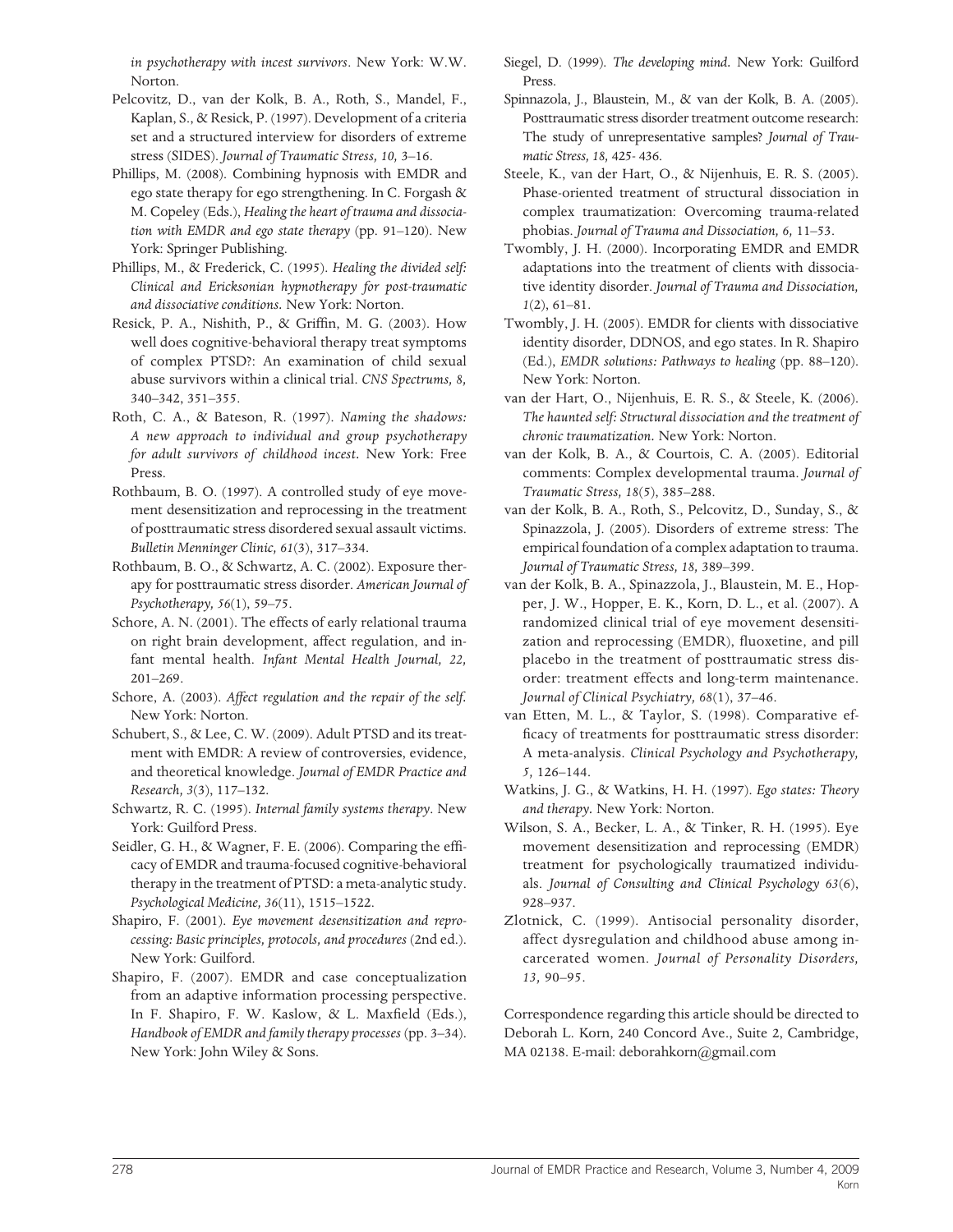*in psychotherapy with incest survivors* . New York: W.W. Norton.

- Pelcovitz, D., van der Kolk, B. A., Roth, S., Mandel, F., Kaplan, S., & Resick, P. (1997). Development of a criteria set and a structured interview for disorders of extreme stress (SIDES). *Journal of Traumatic Stress, 10,* 3–16.
- Phillips, M. (2008). Combining hypnosis with EMDR and ego state therapy for ego strengthening. In C. Forgash & M. Copeley (Eds.), *Healing the heart of trauma and dissociation with EMDR and ego state therapy* (pp. 91–120). New York: Springer Publishing.
- Phillips, M., & Frederick, C. (1995). *Healing the divided self: Clinical and Ericksonian hypnotherapy for post-traumatic and dissociative conditions.* New York: Norton.
- Resick, P. A., Nishith, P., & Griffin, M. G. (2003). How well does cognitive-behavioral therapy treat symptoms of complex PTSD?: An examination of child sexual abuse survivors within a clinical trial. *CNS Spectrums, 8,* 340–342, 351–355.
- Roth, C. A., & Bateson, R. (1997). *Naming the shadows: A new approach to individual and group psychotherapy for adult survivors of childhood incest.* New York: Free Press.
- Rothbaum, B. O. (1997). A controlled study of eye movement desensitization and reprocessing in the treatment of posttraumatic stress disordered sexual assault victims. *Bulletin Menninger Clinic, 61* (3), 317–334.
- Rothbaum, B. O., & Schwartz, A. C. (2002). Exposure therapy for posttraumatic stress disorder. *American Journal of Psychotherapy, 56* (1), 59–75.
- Schore, A. N. (2001). The effects of early relational trauma on right brain development, affect regulation, and infant mental health. *Infant Mental Health Journal, 22,* 201–269.
- Schore, A. (2003). *Affect regulation and the repair of the self.*  New York: Norton.
- Schubert, S., & Lee, C. W. (2009). Adult PTSD and its treatment with EMDR: A review of controversies, evidence, and theoretical knowledge. *Journal of EMDR Practice and Research, 3* (3), 117–132.
- Schwartz, R. C. (1995). *Internal family systems therapy* . New York: Guilford Press.
- Seidler, G. H., & Wagner, F. E. (2006). Comparing the efficacy of EMDR and trauma-focused cognitive-behavioral therapy in the treatment of PTSD: a meta-analytic study. *Psychological Medicine, 36* (11), 1515–1522.
- Shapiro, F. (2001). *Eye movement desensitization and reprocessing: Basic principles, protocols, and procedures* (2nd ed.). New York: Guilford.
- Shapiro, F. (2007). EMDR and case conceptualization from an adaptive information processing perspective. In F. Shapiro, F. W. Kaslow, & L. Maxfield (Eds.), *Handbook of EMDR and family therapy processes* (pp. 3–34). New York: John Wiley & Sons.
- Siegel, D. (1999). *The developing mind.* New York: Guilford Press.
- Spinnazola, J., Blaustein, M., & van der Kolk, B. A. (2005). Posttraumatic stress disorder treatment outcome research: The study of unrepresentative samples? *Journal of Traumatic Stress, 18,* 425- 436.
- Steele, K., van der Hart, O., & Nijenhuis, E. R. S. (2005). Phase-oriented treatment of structural dissociation in complex traumatization: Overcoming trauma-related phobias. *Journal of Trauma and Dissociation, 6,* 11–53.
- Twombly, J. H. (2000). Incorporating EMDR and EMDR adaptations into the treatment of clients with dissociative identity disorder. *Journal of Trauma and Dissociation, 1* (2), 61–81.
- Twombly, J. H. (2005). EMDR for clients with dissociative identity disorder, DDNOS, and ego states. In R. Shapiro (Ed.), *EMDR solutions: Pathways to healing* (pp. 88–120). New York: Norton.
- van der Hart, O., Nijenhuis, E. R. S., & Steele, K. (2006). *The haunted self: Structural dissociation and the treatment of chronic traumatization.* New York: Norton.
- van der Kolk, B. A., & Courtois, C. A. (2005). Editorial comments: Complex developmental trauma. *Journal of Traumatic Stress, 18* (5), 385–288.
- van der Kolk, B. A., Roth, S., Pelcovitz, D., Sunday, S., & Spinazzola, J. (2005). Disorders of extreme stress: The empirical foundation of a complex adaptation to trauma. *Journal of Traumatic Stress, 18,* 389–399.
- van der Kolk, B. A., Spinazzola, J., Blaustein, M. E., Hopper, J. W., Hopper, E. K., Korn, D. L., et al. (2007). A randomized clinical trial of eye movement desensitization and reprocessing (EMDR), fluoxetine, and pill placebo in the treatment of posttraumatic stress disorder: treatment effects and long-term maintenance. *Journal of Clinical Psychiatry, 68* (1), 37–46.
- van Etten, M. L., & Taylor, S. (1998). Comparative efficacy of treatments for posttraumatic stress disorder: A meta-analysis. *Clinical Psychology and Psychotherapy, 5,* 126–144.
- Watkins, J. G., & Watkins, H. H. (1997). *Ego states: Theory and therapy.* New York: Norton.
- Wilson, S. A., Becker, L. A., & Tinker, R. H. (1995). Eye movement desensitization and reprocessing (EMDR) treatment for psychologically traumatized individuals. *Journal of Consulting and Clinical Psychology 63* (6), 928–937.
- Zlotnick, C. (1999). Antisocial personality disorder, affect dysregulation and childhood abuse among incarcerated women. *Journal of Personality Disorders, 13,* 90–95.

 Correspondence regarding this article should be directed to Deborah L. Korn, 240 Concord Ave., Suite 2, Cambridge, MA 02138. E-mail: deborahkorn@gmail.com